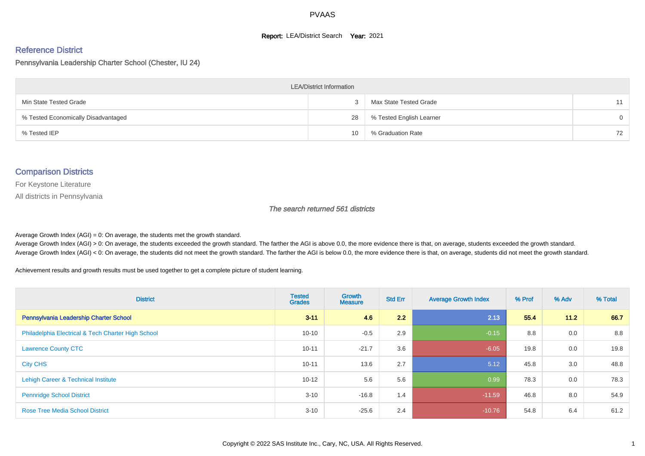#### **Report: LEA/District Search Year: 2021**

# Reference District

#### Pennsylvania Leadership Charter School (Chester, IU 24)

| <b>LEA/District Information</b>     |    |                          |          |  |  |  |  |  |  |  |
|-------------------------------------|----|--------------------------|----------|--|--|--|--|--|--|--|
| Min State Tested Grade              |    | Max State Tested Grade   | 11       |  |  |  |  |  |  |  |
| % Tested Economically Disadvantaged | 28 | % Tested English Learner | $\Omega$ |  |  |  |  |  |  |  |
| % Tested IEP                        | 10 | % Graduation Rate        | 72       |  |  |  |  |  |  |  |

#### Comparison Districts

For Keystone Literature

All districts in Pennsylvania

The search returned 561 districts

Average Growth Index  $(AGI) = 0$ : On average, the students met the growth standard.

Average Growth Index (AGI) > 0: On average, the students exceeded the growth standard. The farther the AGI is above 0.0, the more evidence there is that, on average, students exceeded the growth standard. Average Growth Index (AGI) < 0: On average, the students did not meet the growth standard. The farther the AGI is below 0.0, the more evidence there is that, on average, students did not meet the growth standard.

Achievement results and growth results must be used together to get a complete picture of student learning.

| <b>District</b>                                    | <b>Tested</b><br><b>Grades</b> | <b>Growth</b><br><b>Measure</b> | <b>Std Err</b> | <b>Average Growth Index</b> | % Prof | % Adv  | % Total |
|----------------------------------------------------|--------------------------------|---------------------------------|----------------|-----------------------------|--------|--------|---------|
| Pennsylvania Leadership Charter School             | $3 - 11$                       | 4.6                             | 2.2            | 2.13                        | 55.4   | $11.2$ | 66.7    |
| Philadelphia Electrical & Tech Charter High School | $10 - 10$                      | $-0.5$                          | 2.9            | $-0.15$                     | 8.8    | 0.0    | 8.8     |
| <b>Lawrence County CTC</b>                         | $10 - 11$                      | $-21.7$                         | 3.6            | $-6.05$                     | 19.8   | 0.0    | 19.8    |
| <b>City CHS</b>                                    | $10 - 11$                      | 13.6                            | 2.7            | 5.12                        | 45.8   | 3.0    | 48.8    |
| Lehigh Career & Technical Institute                | $10 - 12$                      | 5.6                             | 5.6            | 0.99                        | 78.3   | 0.0    | 78.3    |
| <b>Pennridge School District</b>                   | $3 - 10$                       | $-16.8$                         | 1.4            | $-11.59$                    | 46.8   | 8.0    | 54.9    |
| <b>Rose Tree Media School District</b>             | $3 - 10$                       | $-25.6$                         | 2.4            | $-10.76$                    | 54.8   | 6.4    | 61.2    |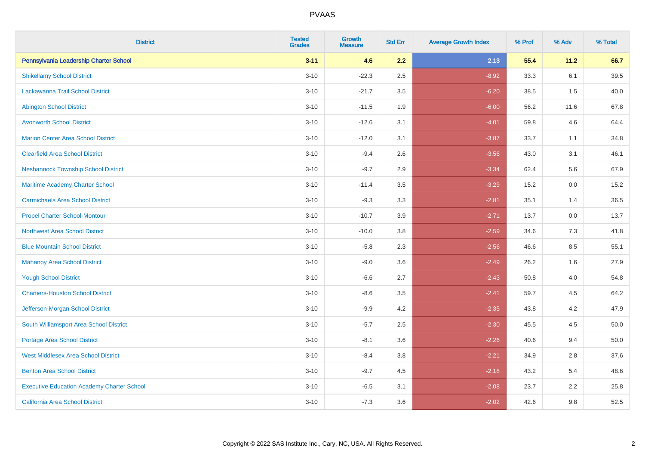| <b>District</b>                                   | <b>Tested</b><br><b>Grades</b> | <b>Growth</b><br><b>Measure</b> | <b>Std Err</b> | <b>Average Growth Index</b> | % Prof | % Adv  | % Total |
|---------------------------------------------------|--------------------------------|---------------------------------|----------------|-----------------------------|--------|--------|---------|
| Pennsylvania Leadership Charter School            | $3 - 11$                       | 4.6                             | 2.2            | 2.13                        | 55.4   | $11.2$ | 66.7    |
| <b>Shikellamy School District</b>                 | $3 - 10$                       | $-22.3$                         | 2.5            | $-8.92$                     | 33.3   | 6.1    | 39.5    |
| <b>Lackawanna Trail School District</b>           | $3 - 10$                       | $-21.7$                         | 3.5            | $-6.20$                     | 38.5   | 1.5    | 40.0    |
| <b>Abington School District</b>                   | $3 - 10$                       | $-11.5$                         | 1.9            | $-6.00$                     | 56.2   | 11.6   | 67.8    |
| <b>Avonworth School District</b>                  | $3 - 10$                       | $-12.6$                         | 3.1            | $-4.01$                     | 59.8   | 4.6    | 64.4    |
| <b>Marion Center Area School District</b>         | $3 - 10$                       | $-12.0$                         | 3.1            | $-3.87$                     | 33.7   | 1.1    | 34.8    |
| <b>Clearfield Area School District</b>            | $3 - 10$                       | $-9.4$                          | 2.6            | $-3.56$                     | 43.0   | 3.1    | 46.1    |
| <b>Neshannock Township School District</b>        | $3 - 10$                       | $-9.7$                          | 2.9            | $-3.34$                     | 62.4   | 5.6    | 67.9    |
| <b>Maritime Academy Charter School</b>            | $3 - 10$                       | $-11.4$                         | 3.5            | $-3.29$                     | 15.2   | 0.0    | 15.2    |
| <b>Carmichaels Area School District</b>           | $3 - 10$                       | $-9.3$                          | 3.3            | $-2.81$                     | 35.1   | 1.4    | 36.5    |
| <b>Propel Charter School-Montour</b>              | $3 - 10$                       | $-10.7$                         | 3.9            | $-2.71$                     | 13.7   | 0.0    | 13.7    |
| <b>Northwest Area School District</b>             | $3 - 10$                       | $-10.0$                         | 3.8            | $-2.59$                     | 34.6   | 7.3    | 41.8    |
| <b>Blue Mountain School District</b>              | $3 - 10$                       | $-5.8$                          | 2.3            | $-2.56$                     | 46.6   | 8.5    | 55.1    |
| <b>Mahanoy Area School District</b>               | $3 - 10$                       | $-9.0$                          | 3.6            | $-2.49$                     | 26.2   | 1.6    | 27.9    |
| <b>Yough School District</b>                      | $3 - 10$                       | $-6.6$                          | 2.7            | $-2.43$                     | 50.8   | 4.0    | 54.8    |
| <b>Chartiers-Houston School District</b>          | $3 - 10$                       | $-8.6$                          | 3.5            | $-2.41$                     | 59.7   | 4.5    | 64.2    |
| Jefferson-Morgan School District                  | $3 - 10$                       | $-9.9$                          | 4.2            | $-2.35$                     | 43.8   | 4.2    | 47.9    |
| South Williamsport Area School District           | $3 - 10$                       | $-5.7$                          | 2.5            | $-2.30$                     | 45.5   | 4.5    | 50.0    |
| Portage Area School District                      | $3 - 10$                       | $-8.1$                          | 3.6            | $-2.26$                     | 40.6   | 9.4    | 50.0    |
| <b>West Middlesex Area School District</b>        | $3 - 10$                       | $-8.4$                          | 3.8            | $-2.21$                     | 34.9   | 2.8    | 37.6    |
| <b>Benton Area School District</b>                | $3 - 10$                       | $-9.7$                          | 4.5            | $-2.18$                     | 43.2   | 5.4    | 48.6    |
| <b>Executive Education Academy Charter School</b> | $3 - 10$                       | $-6.5$                          | 3.1            | $-2.08$                     | 23.7   | 2.2    | 25.8    |
| California Area School District                   | $3 - 10$                       | $-7.3$                          | 3.6            | $-2.02$                     | 42.6   | 9.8    | 52.5    |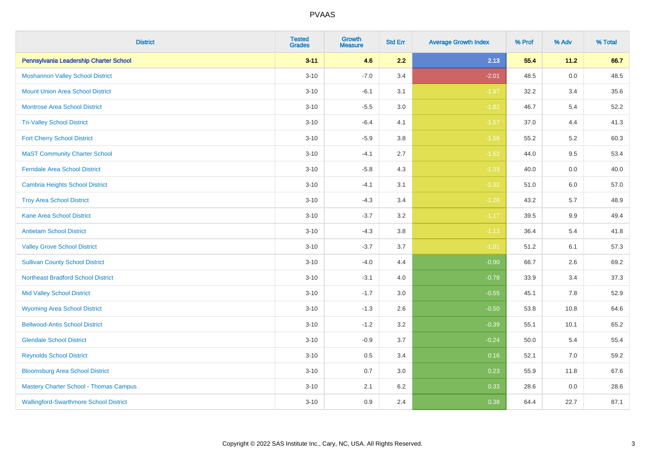| <b>District</b>                               | <b>Tested</b><br><b>Grades</b> | Growth<br><b>Measure</b> | <b>Std Err</b> | <b>Average Growth Index</b> | % Prof | % Adv   | % Total |
|-----------------------------------------------|--------------------------------|--------------------------|----------------|-----------------------------|--------|---------|---------|
| Pennsylvania Leadership Charter School        | $3 - 11$                       | 4.6                      | 2.2            | 2.13                        | 55.4   | 11.2    | 66.7    |
| <b>Moshannon Valley School District</b>       | $3 - 10$                       | $-7.0$                   | 3.4            | $-2.01$                     | 48.5   | 0.0     | 48.5    |
| <b>Mount Union Area School District</b>       | $3 - 10$                       | $-6.1$                   | 3.1            | $-1.97$                     | 32.2   | 3.4     | 35.6    |
| <b>Montrose Area School District</b>          | $3 - 10$                       | $-5.5$                   | 3.0            | $-1.82$                     | 46.7   | 5.4     | 52.2    |
| <b>Tri-Valley School District</b>             | $3 - 10$                       | $-6.4$                   | 4.1            | $-1.57$                     | 37.0   | 4.4     | 41.3    |
| <b>Fort Cherry School District</b>            | $3 - 10$                       | $-5.9$                   | 3.8            | $-1.56$                     | 55.2   | $5.2\,$ | 60.3    |
| <b>MaST Community Charter School</b>          | $3 - 10$                       | $-4.1$                   | 2.7            | $-1.52$                     | 44.0   | 9.5     | 53.4    |
| <b>Ferndale Area School District</b>          | $3 - 10$                       | $-5.8$                   | 4.3            | $-1.33$                     | 40.0   | 0.0     | 40.0    |
| <b>Cambria Heights School District</b>        | $3 - 10$                       | $-4.1$                   | 3.1            | $-1.32$                     | 51.0   | 6.0     | 57.0    |
| <b>Troy Area School District</b>              | $3 - 10$                       | $-4.3$                   | 3.4            | $-1.26$                     | 43.2   | 5.7     | 48.9    |
| <b>Kane Area School District</b>              | $3 - 10$                       | $-3.7$                   | 3.2            | $-1.17$                     | 39.5   | 9.9     | 49.4    |
| <b>Antietam School District</b>               | $3 - 10$                       | $-4.3$                   | 3.8            | $-1.13$                     | 36.4   | 5.4     | 41.8    |
| <b>Valley Grove School District</b>           | $3 - 10$                       | $-3.7$                   | 3.7            | $-1.01$                     | 51.2   | 6.1     | 57.3    |
| <b>Sullivan County School District</b>        | $3 - 10$                       | $-4.0$                   | 4.4            | $-0.90$                     | 66.7   | 2.6     | 69.2    |
| <b>Northeast Bradford School District</b>     | $3 - 10$                       | $-3.1$                   | 4.0            | $-0.78$                     | 33.9   | 3.4     | 37.3    |
| <b>Mid Valley School District</b>             | $3 - 10$                       | $-1.7$                   | 3.0            | $-0.55$                     | 45.1   | 7.8     | 52.9    |
| <b>Wyoming Area School District</b>           | $3 - 10$                       | $-1.3$                   | 2.6            | $-0.50$                     | 53.8   | 10.8    | 64.6    |
| <b>Bellwood-Antis School District</b>         | $3 - 10$                       | $-1.2$                   | 3.2            | $-0.39$                     | 55.1   | 10.1    | 65.2    |
| <b>Glendale School District</b>               | $3 - 10$                       | $-0.9$                   | 3.7            | $-0.24$                     | 50.0   | 5.4     | 55.4    |
| <b>Reynolds School District</b>               | $3 - 10$                       | 0.5                      | 3.4            | 0.16                        | 52.1   | 7.0     | 59.2    |
| <b>Bloomsburg Area School District</b>        | $3 - 10$                       | 0.7                      | 3.0            | 0.23                        | 55.9   | 11.8    | 67.6    |
| <b>Mastery Charter School - Thomas Campus</b> | $3 - 10$                       | 2.1                      | 6.2            | 0.33                        | 28.6   | 0.0     | 28.6    |
| <b>Wallingford-Swarthmore School District</b> | $3 - 10$                       | 0.9                      | 2.4            | 0.38                        | 64.4   | 22.7    | 87.1    |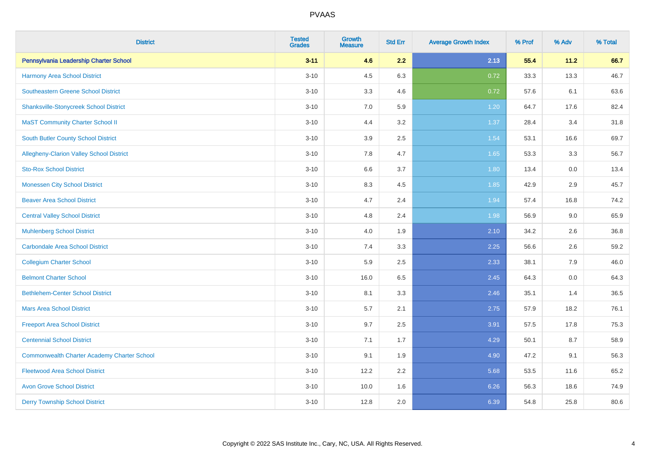| <b>District</b>                                    | <b>Tested</b><br><b>Grades</b> | <b>Growth</b><br><b>Measure</b> | <b>Std Err</b> | <b>Average Growth Index</b> | % Prof | % Adv | % Total |
|----------------------------------------------------|--------------------------------|---------------------------------|----------------|-----------------------------|--------|-------|---------|
| Pennsylvania Leadership Charter School             | $3 - 11$                       | 4.6                             | 2.2            | 2.13                        | 55.4   | 11.2  | 66.7    |
| Harmony Area School District                       | $3 - 10$                       | 4.5                             | 6.3            | 0.72                        | 33.3   | 13.3  | 46.7    |
| <b>Southeastern Greene School District</b>         | $3 - 10$                       | 3.3                             | 4.6            | 0.72                        | 57.6   | 6.1   | 63.6    |
| <b>Shanksville-Stonycreek School District</b>      | $3 - 10$                       | 7.0                             | 5.9            | 1.20                        | 64.7   | 17.6  | 82.4    |
| <b>MaST Community Charter School II</b>            | $3 - 10$                       | 4.4                             | 3.2            | 1.37                        | 28.4   | 3.4   | 31.8    |
| <b>South Butler County School District</b>         | $3 - 10$                       | 3.9                             | 2.5            | 1.54                        | 53.1   | 16.6  | 69.7    |
| Allegheny-Clarion Valley School District           | $3 - 10$                       | 7.8                             | 4.7            | 1.65                        | 53.3   | 3.3   | 56.7    |
| <b>Sto-Rox School District</b>                     | $3 - 10$                       | 6.6                             | 3.7            | 1.80                        | 13.4   | 0.0   | 13.4    |
| <b>Monessen City School District</b>               | $3 - 10$                       | 8.3                             | 4.5            | 1.85                        | 42.9   | 2.9   | 45.7    |
| <b>Beaver Area School District</b>                 | $3 - 10$                       | 4.7                             | 2.4            | 1.94                        | 57.4   | 16.8  | 74.2    |
| <b>Central Valley School District</b>              | $3 - 10$                       | 4.8                             | 2.4            | 1.98                        | 56.9   | 9.0   | 65.9    |
| <b>Muhlenberg School District</b>                  | $3 - 10$                       | 4.0                             | 1.9            | 2.10                        | 34.2   | 2.6   | 36.8    |
| Carbondale Area School District                    | $3 - 10$                       | 7.4                             | 3.3            | 2.25                        | 56.6   | 2.6   | 59.2    |
| <b>Collegium Charter School</b>                    | $3 - 10$                       | 5.9                             | 2.5            | 2.33                        | 38.1   | 7.9   | 46.0    |
| <b>Belmont Charter School</b>                      | $3 - 10$                       | 16.0                            | 6.5            | 2.45                        | 64.3   | 0.0   | 64.3    |
| <b>Bethlehem-Center School District</b>            | $3 - 10$                       | 8.1                             | 3.3            | 2.46                        | 35.1   | 1.4   | 36.5    |
| <b>Mars Area School District</b>                   | $3 - 10$                       | 5.7                             | 2.1            | 2.75                        | 57.9   | 18.2  | 76.1    |
| <b>Freeport Area School District</b>               | $3 - 10$                       | 9.7                             | 2.5            | 3.91                        | 57.5   | 17.8  | 75.3    |
| <b>Centennial School District</b>                  | $3 - 10$                       | 7.1                             | 1.7            | 4.29                        | 50.1   | 8.7   | 58.9    |
| <b>Commonwealth Charter Academy Charter School</b> | $3 - 10$                       | 9.1                             | 1.9            | 4.90                        | 47.2   | 9.1   | 56.3    |
| <b>Fleetwood Area School District</b>              | $3 - 10$                       | 12.2                            | 2.2            | 5.68                        | 53.5   | 11.6  | 65.2    |
| <b>Avon Grove School District</b>                  | $3 - 10$                       | 10.0                            | 1.6            | 6.26                        | 56.3   | 18.6  | 74.9    |
| <b>Derry Township School District</b>              | $3 - 10$                       | 12.8                            | 2.0            | 6.39                        | 54.8   | 25.8  | 80.6    |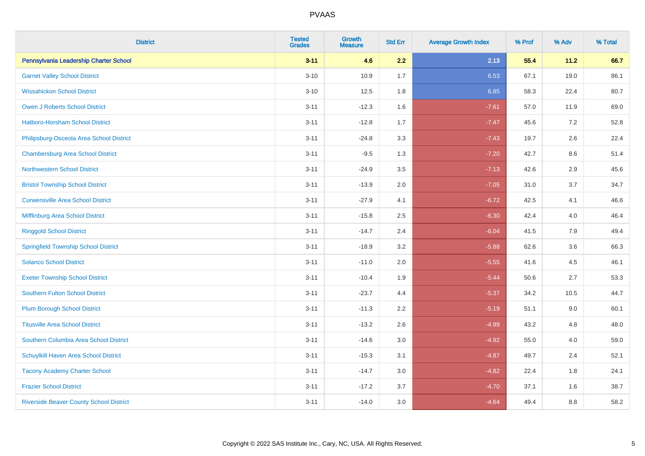| <b>District</b>                                | <b>Tested</b><br><b>Grades</b> | <b>Growth</b><br><b>Measure</b> | <b>Std Err</b> | <b>Average Growth Index</b> | % Prof | % Adv   | % Total |
|------------------------------------------------|--------------------------------|---------------------------------|----------------|-----------------------------|--------|---------|---------|
| Pennsylvania Leadership Charter School         | $3 - 11$                       | 4.6                             | 2.2            | 2.13                        | 55.4   | 11.2    | 66.7    |
| <b>Garnet Valley School District</b>           | $3 - 10$                       | 10.9                            | 1.7            | 6.53                        | 67.1   | 19.0    | 86.1    |
| <b>Wissahickon School District</b>             | $3 - 10$                       | 12.5                            | 1.8            | 6.85                        | 58.3   | 22.4    | 80.7    |
| <b>Owen J Roberts School District</b>          | $3 - 11$                       | $-12.3$                         | 1.6            | $-7.61$                     | 57.0   | 11.9    | 69.0    |
| Hatboro-Horsham School District                | $3 - 11$                       | $-12.8$                         | 1.7            | $-7.47$                     | 45.6   | 7.2     | 52.8    |
| Philipsburg-Osceola Area School District       | $3 - 11$                       | $-24.8$                         | 3.3            | $-7.43$                     | 19.7   | 2.6     | 22.4    |
| <b>Chambersburg Area School District</b>       | $3 - 11$                       | $-9.5$                          | 1.3            | $-7.20$                     | 42.7   | $8.6\,$ | 51.4    |
| <b>Northwestern School District</b>            | $3 - 11$                       | $-24.9$                         | 3.5            | $-7.13$                     | 42.6   | 2.9     | 45.6    |
| <b>Bristol Township School District</b>        | $3 - 11$                       | $-13.9$                         | 2.0            | $-7.05$                     | 31.0   | 3.7     | 34.7    |
| <b>Curwensville Area School District</b>       | $3 - 11$                       | $-27.9$                         | 4.1            | $-6.72$                     | 42.5   | 4.1     | 46.6    |
| Mifflinburg Area School District               | $3 - 11$                       | $-15.8$                         | 2.5            | $-6.30$                     | 42.4   | 4.0     | 46.4    |
| <b>Ringgold School District</b>                | $3 - 11$                       | $-14.7$                         | 2.4            | $-6.04$                     | 41.5   | 7.9     | 49.4    |
| <b>Springfield Township School District</b>    | $3 - 11$                       | $-18.9$                         | 3.2            | $-5.88$                     | 62.6   | 3.6     | 66.3    |
| <b>Solanco School District</b>                 | $3 - 11$                       | $-11.0$                         | 2.0            | $-5.55$                     | 41.6   | 4.5     | 46.1    |
| <b>Exeter Township School District</b>         | $3 - 11$                       | $-10.4$                         | 1.9            | $-5.44$                     | 50.6   | 2.7     | 53.3    |
| <b>Southern Fulton School District</b>         | $3 - 11$                       | $-23.7$                         | 4.4            | $-5.37$                     | 34.2   | 10.5    | 44.7    |
| <b>Plum Borough School District</b>            | $3 - 11$                       | $-11.3$                         | 2.2            | $-5.19$                     | 51.1   | 9.0     | 60.1    |
| <b>Titusville Area School District</b>         | $3 - 11$                       | $-13.2$                         | 2.6            | $-4.99$                     | 43.2   | 4.8     | 48.0    |
| Southern Columbia Area School District         | $3 - 11$                       | $-14.6$                         | 3.0            | $-4.92$                     | 55.0   | 4.0     | 59.0    |
| Schuylkill Haven Area School District          | $3 - 11$                       | $-15.3$                         | 3.1            | $-4.87$                     | 49.7   | 2.4     | 52.1    |
| <b>Tacony Academy Charter School</b>           | $3 - 11$                       | $-14.7$                         | 3.0            | $-4.82$                     | 22.4   | 1.8     | 24.1    |
| <b>Frazier School District</b>                 | $3 - 11$                       | $-17.2$                         | 3.7            | $-4.70$                     | 37.1   | 1.6     | 38.7    |
| <b>Riverside Beaver County School District</b> | $3 - 11$                       | $-14.0$                         | 3.0            | $-4.64$                     | 49.4   | 8.8     | 58.2    |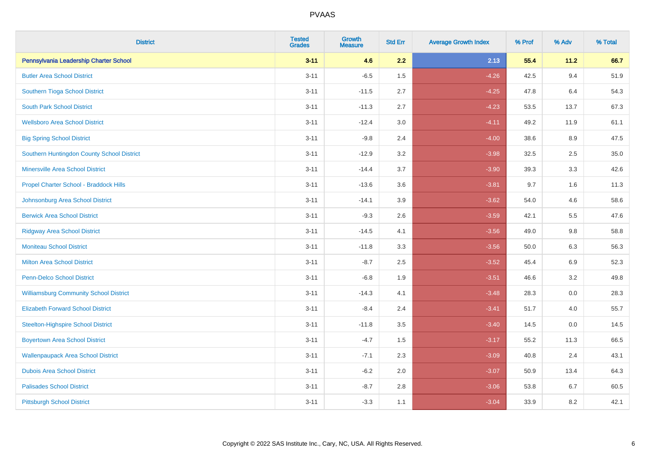| <b>District</b>                               | <b>Tested</b><br><b>Grades</b> | <b>Growth</b><br><b>Measure</b> | <b>Std Err</b> | <b>Average Growth Index</b> | % Prof | % Adv | % Total |
|-----------------------------------------------|--------------------------------|---------------------------------|----------------|-----------------------------|--------|-------|---------|
| Pennsylvania Leadership Charter School        | $3 - 11$                       | 4.6                             | 2.2            | 2.13                        | 55.4   | 11.2  | 66.7    |
| <b>Butler Area School District</b>            | $3 - 11$                       | $-6.5$                          | 1.5            | $-4.26$                     | 42.5   | 9.4   | 51.9    |
| Southern Tioga School District                | $3 - 11$                       | $-11.5$                         | 2.7            | $-4.25$                     | 47.8   | 6.4   | 54.3    |
| <b>South Park School District</b>             | $3 - 11$                       | $-11.3$                         | 2.7            | $-4.23$                     | 53.5   | 13.7  | 67.3    |
| <b>Wellsboro Area School District</b>         | $3 - 11$                       | $-12.4$                         | 3.0            | $-4.11$                     | 49.2   | 11.9  | 61.1    |
| <b>Big Spring School District</b>             | $3 - 11$                       | $-9.8$                          | 2.4            | $-4.00$                     | 38.6   | 8.9   | 47.5    |
| Southern Huntingdon County School District    | $3 - 11$                       | $-12.9$                         | 3.2            | $-3.98$                     | 32.5   | 2.5   | 35.0    |
| <b>Minersville Area School District</b>       | $3 - 11$                       | $-14.4$                         | 3.7            | $-3.90$                     | 39.3   | 3.3   | 42.6    |
| Propel Charter School - Braddock Hills        | $3 - 11$                       | $-13.6$                         | 3.6            | $-3.81$                     | 9.7    | 1.6   | 11.3    |
| Johnsonburg Area School District              | $3 - 11$                       | $-14.1$                         | 3.9            | $-3.62$                     | 54.0   | 4.6   | 58.6    |
| <b>Berwick Area School District</b>           | $3 - 11$                       | $-9.3$                          | 2.6            | $-3.59$                     | 42.1   | 5.5   | 47.6    |
| <b>Ridgway Area School District</b>           | $3 - 11$                       | $-14.5$                         | 4.1            | $-3.56$                     | 49.0   | 9.8   | 58.8    |
| <b>Moniteau School District</b>               | $3 - 11$                       | $-11.8$                         | 3.3            | $-3.56$                     | 50.0   | 6.3   | 56.3    |
| <b>Milton Area School District</b>            | $3 - 11$                       | $-8.7$                          | 2.5            | $-3.52$                     | 45.4   | 6.9   | 52.3    |
| <b>Penn-Delco School District</b>             | $3 - 11$                       | $-6.8$                          | 1.9            | $-3.51$                     | 46.6   | 3.2   | 49.8    |
| <b>Williamsburg Community School District</b> | $3 - 11$                       | $-14.3$                         | 4.1            | $-3.48$                     | 28.3   | 0.0   | 28.3    |
| <b>Elizabeth Forward School District</b>      | $3 - 11$                       | $-8.4$                          | 2.4            | $-3.41$                     | 51.7   | 4.0   | 55.7    |
| <b>Steelton-Highspire School District</b>     | $3 - 11$                       | $-11.8$                         | 3.5            | $-3.40$                     | 14.5   | 0.0   | 14.5    |
| <b>Boyertown Area School District</b>         | $3 - 11$                       | $-4.7$                          | 1.5            | $-3.17$                     | 55.2   | 11.3  | 66.5    |
| <b>Wallenpaupack Area School District</b>     | $3 - 11$                       | $-7.1$                          | 2.3            | $-3.09$                     | 40.8   | 2.4   | 43.1    |
| <b>Dubois Area School District</b>            | $3 - 11$                       | $-6.2$                          | 2.0            | $-3.07$                     | 50.9   | 13.4  | 64.3    |
| <b>Palisades School District</b>              | $3 - 11$                       | $-8.7$                          | 2.8            | $-3.06$                     | 53.8   | 6.7   | 60.5    |
| <b>Pittsburgh School District</b>             | $3 - 11$                       | $-3.3$                          | 1.1            | $-3.04$                     | 33.9   | 8.2   | 42.1    |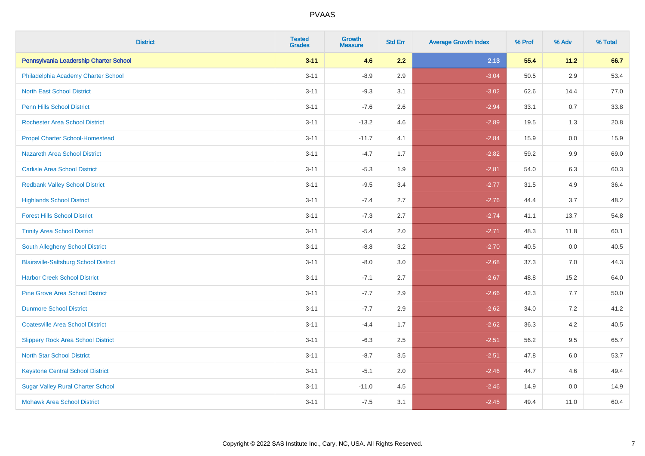| <b>District</b>                              | <b>Tested</b><br><b>Grades</b> | <b>Growth</b><br><b>Measure</b> | <b>Std Err</b> | <b>Average Growth Index</b> | % Prof | % Adv   | % Total |
|----------------------------------------------|--------------------------------|---------------------------------|----------------|-----------------------------|--------|---------|---------|
| Pennsylvania Leadership Charter School       | $3 - 11$                       | 4.6                             | 2.2            | 2.13                        | 55.4   | 11.2    | 66.7    |
| Philadelphia Academy Charter School          | $3 - 11$                       | $-8.9$                          | 2.9            | $-3.04$                     | 50.5   | $2.9\,$ | 53.4    |
| <b>North East School District</b>            | $3 - 11$                       | $-9.3$                          | 3.1            | $-3.02$                     | 62.6   | 14.4    | 77.0    |
| <b>Penn Hills School District</b>            | $3 - 11$                       | $-7.6$                          | 2.6            | $-2.94$                     | 33.1   | 0.7     | 33.8    |
| <b>Rochester Area School District</b>        | $3 - 11$                       | $-13.2$                         | 4.6            | $-2.89$                     | 19.5   | 1.3     | 20.8    |
| <b>Propel Charter School-Homestead</b>       | $3 - 11$                       | $-11.7$                         | 4.1            | $-2.84$                     | 15.9   | 0.0     | 15.9    |
| <b>Nazareth Area School District</b>         | $3 - 11$                       | $-4.7$                          | 1.7            | $-2.82$                     | 59.2   | $9.9\,$ | 69.0    |
| <b>Carlisle Area School District</b>         | $3 - 11$                       | $-5.3$                          | 1.9            | $-2.81$                     | 54.0   | 6.3     | 60.3    |
| <b>Redbank Valley School District</b>        | $3 - 11$                       | $-9.5$                          | 3.4            | $-2.77$                     | 31.5   | 4.9     | 36.4    |
| <b>Highlands School District</b>             | $3 - 11$                       | $-7.4$                          | 2.7            | $-2.76$                     | 44.4   | 3.7     | 48.2    |
| <b>Forest Hills School District</b>          | $3 - 11$                       | $-7.3$                          | 2.7            | $-2.74$                     | 41.1   | 13.7    | 54.8    |
| <b>Trinity Area School District</b>          | $3 - 11$                       | $-5.4$                          | 2.0            | $-2.71$                     | 48.3   | 11.8    | 60.1    |
| South Allegheny School District              | $3 - 11$                       | $-8.8$                          | 3.2            | $-2.70$                     | 40.5   | 0.0     | 40.5    |
| <b>Blairsville-Saltsburg School District</b> | $3 - 11$                       | $-8.0$                          | 3.0            | $-2.68$                     | 37.3   | 7.0     | 44.3    |
| <b>Harbor Creek School District</b>          | $3 - 11$                       | $-7.1$                          | 2.7            | $-2.67$                     | 48.8   | 15.2    | 64.0    |
| <b>Pine Grove Area School District</b>       | $3 - 11$                       | $-7.7$                          | 2.9            | $-2.66$                     | 42.3   | 7.7     | 50.0    |
| <b>Dunmore School District</b>               | $3 - 11$                       | $-7.7$                          | 2.9            | $-2.62$                     | 34.0   | 7.2     | 41.2    |
| <b>Coatesville Area School District</b>      | $3 - 11$                       | $-4.4$                          | 1.7            | $-2.62$                     | 36.3   | 4.2     | 40.5    |
| <b>Slippery Rock Area School District</b>    | $3 - 11$                       | $-6.3$                          | 2.5            | $-2.51$                     | 56.2   | 9.5     | 65.7    |
| <b>North Star School District</b>            | $3 - 11$                       | $-8.7$                          | 3.5            | $-2.51$                     | 47.8   | 6.0     | 53.7    |
| <b>Keystone Central School District</b>      | $3 - 11$                       | $-5.1$                          | 2.0            | $-2.46$                     | 44.7   | 4.6     | 49.4    |
| <b>Sugar Valley Rural Charter School</b>     | $3 - 11$                       | $-11.0$                         | 4.5            | $-2.46$                     | 14.9   | 0.0     | 14.9    |
| <b>Mohawk Area School District</b>           | $3 - 11$                       | $-7.5$                          | 3.1            | $-2.45$                     | 49.4   | 11.0    | 60.4    |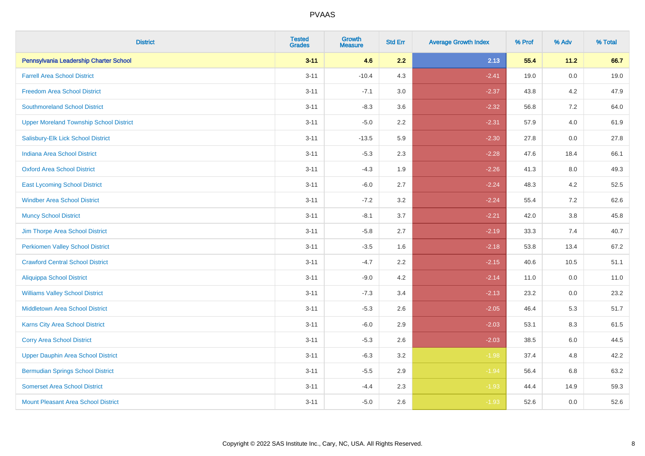| <b>District</b>                                | <b>Tested</b><br><b>Grades</b> | <b>Growth</b><br><b>Measure</b> | <b>Std Err</b> | <b>Average Growth Index</b> | % Prof | % Adv   | % Total |
|------------------------------------------------|--------------------------------|---------------------------------|----------------|-----------------------------|--------|---------|---------|
| Pennsylvania Leadership Charter School         | $3 - 11$                       | 4.6                             | 2.2            | 2.13                        | 55.4   | 11.2    | 66.7    |
| <b>Farrell Area School District</b>            | $3 - 11$                       | $-10.4$                         | 4.3            | $-2.41$                     | 19.0   | $0.0\,$ | 19.0    |
| <b>Freedom Area School District</b>            | $3 - 11$                       | $-7.1$                          | 3.0            | $-2.37$                     | 43.8   | 4.2     | 47.9    |
| <b>Southmoreland School District</b>           | $3 - 11$                       | $-8.3$                          | 3.6            | $-2.32$                     | 56.8   | 7.2     | 64.0    |
| <b>Upper Moreland Township School District</b> | $3 - 11$                       | $-5.0$                          | 2.2            | $-2.31$                     | 57.9   | 4.0     | 61.9    |
| Salisbury-Elk Lick School District             | $3 - 11$                       | $-13.5$                         | 5.9            | $-2.30$                     | 27.8   | 0.0     | 27.8    |
| <b>Indiana Area School District</b>            | $3 - 11$                       | $-5.3$                          | 2.3            | $-2.28$                     | 47.6   | 18.4    | 66.1    |
| <b>Oxford Area School District</b>             | $3 - 11$                       | $-4.3$                          | 1.9            | $-2.26$                     | 41.3   | 8.0     | 49.3    |
| <b>East Lycoming School District</b>           | $3 - 11$                       | $-6.0$                          | 2.7            | $-2.24$                     | 48.3   | 4.2     | 52.5    |
| <b>Windber Area School District</b>            | $3 - 11$                       | $-7.2$                          | 3.2            | $-2.24$                     | 55.4   | 7.2     | 62.6    |
| <b>Muncy School District</b>                   | $3 - 11$                       | $-8.1$                          | 3.7            | $-2.21$                     | 42.0   | 3.8     | 45.8    |
| Jim Thorpe Area School District                | $3 - 11$                       | $-5.8$                          | 2.7            | $-2.19$                     | 33.3   | 7.4     | 40.7    |
| <b>Perkiomen Valley School District</b>        | $3 - 11$                       | $-3.5$                          | 1.6            | $-2.18$                     | 53.8   | 13.4    | 67.2    |
| <b>Crawford Central School District</b>        | $3 - 11$                       | $-4.7$                          | 2.2            | $-2.15$                     | 40.6   | 10.5    | 51.1    |
| <b>Aliquippa School District</b>               | $3 - 11$                       | $-9.0$                          | 4.2            | $-2.14$                     | 11.0   | 0.0     | 11.0    |
| <b>Williams Valley School District</b>         | $3 - 11$                       | $-7.3$                          | 3.4            | $-2.13$                     | 23.2   | 0.0     | 23.2    |
| <b>Middletown Area School District</b>         | $3 - 11$                       | $-5.3$                          | 2.6            | $-2.05$                     | 46.4   | 5.3     | 51.7    |
| Karns City Area School District                | $3 - 11$                       | $-6.0$                          | 2.9            | $-2.03$                     | 53.1   | 8.3     | 61.5    |
| <b>Corry Area School District</b>              | $3 - 11$                       | $-5.3$                          | 2.6            | $-2.03$                     | 38.5   | 6.0     | 44.5    |
| <b>Upper Dauphin Area School District</b>      | $3 - 11$                       | $-6.3$                          | 3.2            | $-1.98$                     | 37.4   | 4.8     | 42.2    |
| <b>Bermudian Springs School District</b>       | $3 - 11$                       | $-5.5$                          | 2.9            | $-1.94$                     | 56.4   | 6.8     | 63.2    |
| <b>Somerset Area School District</b>           | $3 - 11$                       | $-4.4$                          | 2.3            | $-1.93$                     | 44.4   | 14.9    | 59.3    |
| Mount Pleasant Area School District            | $3 - 11$                       | $-5.0$                          | 2.6            | $-1.93$                     | 52.6   | 0.0     | 52.6    |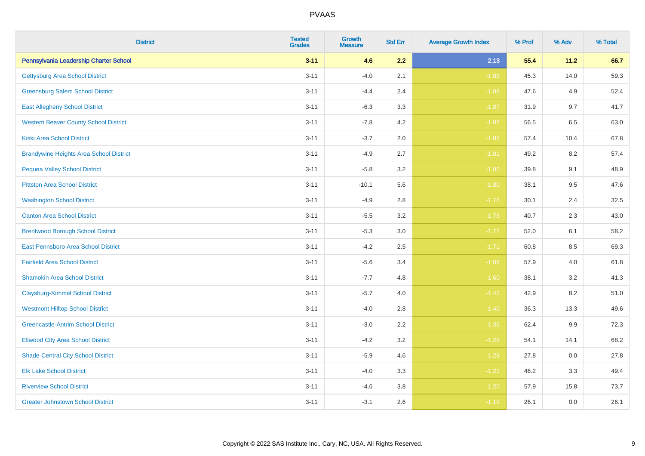| <b>District</b>                                | <b>Tested</b><br><b>Grades</b> | <b>Growth</b><br><b>Measure</b> | <b>Std Err</b> | <b>Average Growth Index</b> | % Prof | % Adv   | % Total |
|------------------------------------------------|--------------------------------|---------------------------------|----------------|-----------------------------|--------|---------|---------|
| Pennsylvania Leadership Charter School         | $3 - 11$                       | 4.6                             | 2.2            | 2.13                        | 55.4   | 11.2    | 66.7    |
| <b>Gettysburg Area School District</b>         | $3 - 11$                       | $-4.0$                          | 2.1            | $-1.89$                     | 45.3   | 14.0    | 59.3    |
| <b>Greensburg Salem School District</b>        | $3 - 11$                       | $-4.4$                          | 2.4            | $-1.88$                     | 47.6   | 4.9     | 52.4    |
| <b>East Allegheny School District</b>          | $3 - 11$                       | $-6.3$                          | 3.3            | $-1.87$                     | 31.9   | 9.7     | 41.7    |
| <b>Western Beaver County School District</b>   | $3 - 11$                       | $-7.8$                          | 4.2            | $-1.87$                     | 56.5   | 6.5     | 63.0    |
| <b>Kiski Area School District</b>              | $3 - 11$                       | $-3.7$                          | 2.0            | $-1.86$                     | 57.4   | 10.4    | 67.8    |
| <b>Brandywine Heights Area School District</b> | $3 - 11$                       | $-4.9$                          | 2.7            | $-1.81$                     | 49.2   | 8.2     | 57.4    |
| <b>Pequea Valley School District</b>           | $3 - 11$                       | $-5.8$                          | 3.2            | $-1.80$                     | 39.8   | 9.1     | 48.9    |
| <b>Pittston Area School District</b>           | $3 - 11$                       | $-10.1$                         | 5.6            | $-1.80$                     | 38.1   | 9.5     | 47.6    |
| <b>Washington School District</b>              | $3 - 11$                       | $-4.9$                          | 2.8            | $-1.76$                     | 30.1   | 2.4     | 32.5    |
| <b>Canton Area School District</b>             | $3 - 11$                       | $-5.5$                          | 3.2            | $-1.75$                     | 40.7   | 2.3     | 43.0    |
| <b>Brentwood Borough School District</b>       | $3 - 11$                       | $-5.3$                          | 3.0            | $-1.72$                     | 52.0   | 6.1     | 58.2    |
| East Pennsboro Area School District            | $3 - 11$                       | $-4.2$                          | 2.5            | $-1.71$                     | 60.8   | 8.5     | 69.3    |
| <b>Fairfield Area School District</b>          | $3 - 11$                       | $-5.6$                          | 3.4            | $-1.66$                     | 57.9   | 4.0     | 61.8    |
| <b>Shamokin Area School District</b>           | $3 - 11$                       | $-7.7$                          | 4.8            | $-1.60$                     | 38.1   | 3.2     | 41.3    |
| <b>Claysburg-Kimmel School District</b>        | $3 - 11$                       | $-5.7$                          | 4.0            | $-1.42$                     | 42.9   | 8.2     | 51.0    |
| <b>Westmont Hilltop School District</b>        | $3 - 11$                       | $-4.0$                          | 2.8            | $-1.40$                     | 36.3   | 13.3    | 49.6    |
| <b>Greencastle-Antrim School District</b>      | $3 - 11$                       | $-3.0$                          | 2.2            | $-1.36$                     | 62.4   | $9.9\,$ | 72.3    |
| <b>Ellwood City Area School District</b>       | $3 - 11$                       | $-4.2$                          | 3.2            | $-1.29$                     | 54.1   | 14.1    | 68.2    |
| <b>Shade-Central City School District</b>      | $3 - 11$                       | $-5.9$                          | 4.6            | $-1.28$                     | 27.8   | 0.0     | 27.8    |
| <b>Elk Lake School District</b>                | $3 - 11$                       | $-4.0$                          | 3.3            | $-1.23$                     | 46.2   | 3.3     | 49.4    |
| <b>Riverview School District</b>               | $3 - 11$                       | $-4.6$                          | 3.8            | $-1.20$                     | 57.9   | 15.8    | 73.7    |
| <b>Greater Johnstown School District</b>       | $3 - 11$                       | $-3.1$                          | 2.6            | $-1.19$                     | 26.1   | 0.0     | 26.1    |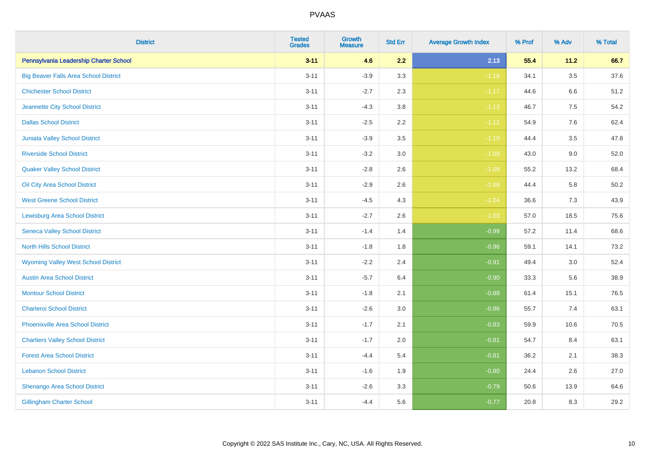| <b>District</b>                              | <b>Tested</b><br><b>Grades</b> | <b>Growth</b><br><b>Measure</b> | <b>Std Err</b> | <b>Average Growth Index</b> | % Prof | % Adv   | % Total  |
|----------------------------------------------|--------------------------------|---------------------------------|----------------|-----------------------------|--------|---------|----------|
| Pennsylvania Leadership Charter School       | $3 - 11$                       | 4.6                             | 2.2            | 2.13                        | 55.4   | 11.2    | 66.7     |
| <b>Big Beaver Falls Area School District</b> | $3 - 11$                       | $-3.9$                          | 3.3            | $-1.18$                     | 34.1   | $3.5\,$ | 37.6     |
| <b>Chichester School District</b>            | $3 - 11$                       | $-2.7$                          | 2.3            | $-1.17$                     | 44.6   | $6.6\,$ | 51.2     |
| Jeannette City School District               | $3 - 11$                       | $-4.3$                          | 3.8            | $-1.13$                     | 46.7   | 7.5     | 54.2     |
| <b>Dallas School District</b>                | $3 - 11$                       | $-2.5$                          | 2.2            | $-1.12$                     | 54.9   | 7.6     | 62.4     |
| Juniata Valley School District               | $3 - 11$                       | $-3.9$                          | 3.5            | $-1.10$                     | 44.4   | 3.5     | 47.8     |
| <b>Riverside School District</b>             | $3 - 11$                       | $-3.2$                          | 3.0            | $-1.09$                     | 43.0   | 9.0     | 52.0     |
| <b>Quaker Valley School District</b>         | $3 - 11$                       | $-2.8$                          | 2.6            | $-1.08$                     | 55.2   | 13.2    | 68.4     |
| Oil City Area School District                | $3 - 11$                       | $-2.9$                          | 2.6            | $-1.08$                     | 44.4   | 5.8     | $50.2\,$ |
| <b>West Greene School District</b>           | $3 - 11$                       | $-4.5$                          | 4.3            | $-1.04$                     | 36.6   | 7.3     | 43.9     |
| <b>Lewisburg Area School District</b>        | $3 - 11$                       | $-2.7$                          | 2.6            | $-1.03$                     | 57.0   | 18.5    | 75.6     |
| <b>Seneca Valley School District</b>         | $3 - 11$                       | $-1.4$                          | 1.4            | $-0.99$                     | 57.2   | 11.4    | 68.6     |
| <b>North Hills School District</b>           | $3 - 11$                       | $-1.8$                          | 1.8            | $-0.96$                     | 59.1   | 14.1    | 73.2     |
| <b>Wyoming Valley West School District</b>   | $3 - 11$                       | $-2.2$                          | 2.4            | $-0.91$                     | 49.4   | 3.0     | 52.4     |
| <b>Austin Area School District</b>           | $3 - 11$                       | $-5.7$                          | 6.4            | $-0.90$                     | 33.3   | 5.6     | 38.9     |
| <b>Montour School District</b>               | $3 - 11$                       | $-1.8$                          | 2.1            | $-0.88$                     | 61.4   | 15.1    | 76.5     |
| <b>Charleroi School District</b>             | $3 - 11$                       | $-2.6$                          | 3.0            | $-0.86$                     | 55.7   | 7.4     | 63.1     |
| <b>Phoenixville Area School District</b>     | $3 - 11$                       | $-1.7$                          | 2.1            | $-0.83$                     | 59.9   | 10.6    | 70.5     |
| <b>Chartiers Valley School District</b>      | $3 - 11$                       | $-1.7$                          | 2.0            | $-0.81$                     | 54.7   | 8.4     | 63.1     |
| <b>Forest Area School District</b>           | $3 - 11$                       | $-4.4$                          | 5.4            | $-0.81$                     | 36.2   | 2.1     | 38.3     |
| <b>Lebanon School District</b>               | $3 - 11$                       | $-1.6$                          | 1.9            | $-0.80$                     | 24.4   | 2.6     | 27.0     |
| Shenango Area School District                | $3 - 11$                       | $-2.6$                          | 3.3            | $-0.79$                     | 50.6   | 13.9    | 64.6     |
| <b>Gillingham Charter School</b>             | $3 - 11$                       | $-4.4$                          | 5.6            | $-0.77$                     | 20.8   | 8.3     | 29.2     |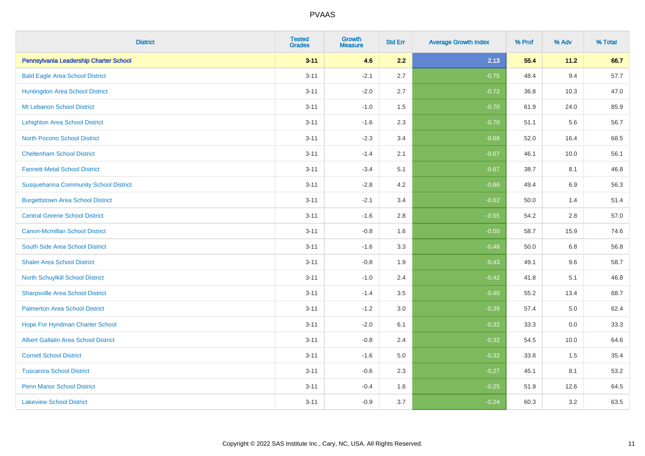| <b>District</b>                              | <b>Tested</b><br><b>Grades</b> | <b>Growth</b><br><b>Measure</b> | <b>Std Err</b> | <b>Average Growth Index</b> | % Prof | % Adv   | % Total |
|----------------------------------------------|--------------------------------|---------------------------------|----------------|-----------------------------|--------|---------|---------|
| Pennsylvania Leadership Charter School       | $3 - 11$                       | 4.6                             | 2.2            | 2.13                        | 55.4   | 11.2    | 66.7    |
| <b>Bald Eagle Area School District</b>       | $3 - 11$                       | $-2.1$                          | 2.7            | $-0.75$                     | 48.4   | 9.4     | 57.7    |
| Huntingdon Area School District              | $3 - 11$                       | $-2.0$                          | 2.7            | $-0.72$                     | 36.8   | 10.3    | 47.0    |
| Mt Lebanon School District                   | $3 - 11$                       | $-1.0$                          | 1.5            | $-0.70$                     | 61.9   | 24.0    | 85.9    |
| <b>Lehighton Area School District</b>        | $3 - 11$                       | $-1.6$                          | 2.3            | $-0.70$                     | 51.1   | 5.6     | 56.7    |
| <b>North Pocono School District</b>          | $3 - 11$                       | $-2.3$                          | 3.4            | $-0.68$                     | 52.0   | 16.4    | 68.5    |
| <b>Cheltenham School District</b>            | $3 - 11$                       | $-1.4$                          | 2.1            | $-0.67$                     | 46.1   | 10.0    | 56.1    |
| <b>Fannett-Metal School District</b>         | $3 - 11$                       | $-3.4$                          | 5.1            | $-0.67$                     | 38.7   | 8.1     | 46.8    |
| <b>Susquehanna Community School District</b> | $3 - 11$                       | $-2.8$                          | 4.2            | $-0.66$                     | 49.4   | 6.9     | 56.3    |
| <b>Burgettstown Area School District</b>     | $3 - 11$                       | $-2.1$                          | 3.4            | $-0.62$                     | 50.0   | 1.4     | 51.4    |
| <b>Central Greene School District</b>        | $3 - 11$                       | $-1.6$                          | 2.8            | $-0.55$                     | 54.2   | 2.8     | 57.0    |
| <b>Canon-Mcmillan School District</b>        | $3 - 11$                       | $-0.8$                          | 1.6            | $-0.50$                     | 58.7   | 15.9    | 74.6    |
| South Side Area School District              | $3 - 11$                       | $-1.6$                          | 3.3            | $-0.48$                     | 50.0   | $6.8\,$ | 56.8    |
| <b>Shaler Area School District</b>           | $3 - 11$                       | $-0.8$                          | 1.9            | $-0.43$                     | 49.1   | 9.6     | 58.7    |
| North Schuylkill School District             | $3 - 11$                       | $-1.0$                          | 2.4            | $-0.42$                     | 41.8   | 5.1     | 46.8    |
| <b>Sharpsville Area School District</b>      | $3 - 11$                       | $-1.4$                          | 3.5            | $-0.40$                     | 55.2   | 13.4    | 68.7    |
| <b>Palmerton Area School District</b>        | $3 - 11$                       | $-1.2$                          | 3.0            | $-0.39$                     | 57.4   | 5.0     | 62.4    |
| Hope For Hyndman Charter School              | $3 - 11$                       | $-2.0$                          | 6.1            | $-0.32$                     | 33.3   | 0.0     | 33.3    |
| <b>Albert Gallatin Area School District</b>  | $3 - 11$                       | $-0.8$                          | 2.4            | $-0.32$                     | 54.5   | 10.0    | 64.6    |
| <b>Cornell School District</b>               | $3 - 11$                       | $-1.6$                          | 5.0            | $-0.32$                     | 33.8   | 1.5     | 35.4    |
| <b>Tuscarora School District</b>             | $3 - 11$                       | $-0.6$                          | 2.3            | $-0.27$                     | 45.1   | 8.1     | 53.2    |
| <b>Penn Manor School District</b>            | $3 - 11$                       | $-0.4$                          | 1.6            | $-0.25$                     | 51.9   | 12.6    | 64.5    |
| <b>Lakeview School District</b>              | $3 - 11$                       | $-0.9$                          | 3.7            | $-0.24$                     | 60.3   | 3.2     | 63.5    |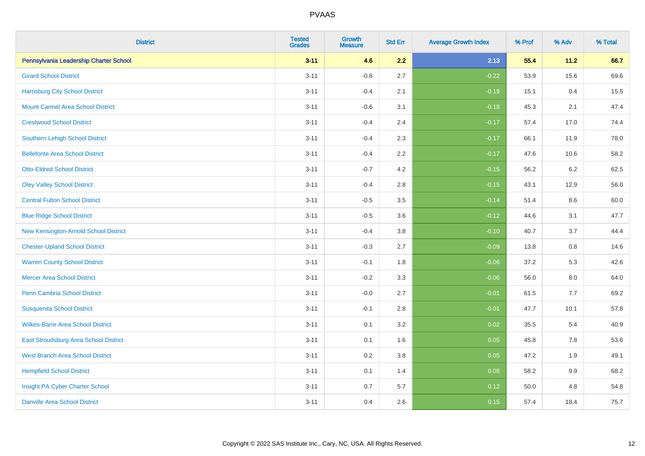| <b>District</b>                          | <b>Tested</b><br><b>Grades</b> | <b>Growth</b><br><b>Measure</b> | <b>Std Err</b> | <b>Average Growth Index</b> | % Prof | % Adv   | % Total |
|------------------------------------------|--------------------------------|---------------------------------|----------------|-----------------------------|--------|---------|---------|
| Pennsylvania Leadership Charter School   | $3 - 11$                       | 4.6                             | 2.2            | 2.13                        | 55.4   | 11.2    | 66.7    |
| <b>Girard School District</b>            | $3 - 11$                       | $-0.6$                          | 2.7            | $-0.22$                     | 53.9   | 15.6    | 69.6    |
| <b>Harrisburg City School District</b>   | $3 - 11$                       | $-0.4$                          | 2.1            | $-0.19$                     | 15.1   | 0.4     | 15.5    |
| <b>Mount Carmel Area School District</b> | $3 - 11$                       | $-0.6$                          | 3.1            | $-0.18$                     | 45.3   | 2.1     | 47.4    |
| <b>Crestwood School District</b>         | $3 - 11$                       | $-0.4$                          | 2.4            | $-0.17$                     | 57.4   | 17.0    | 74.4    |
| Southern Lehigh School District          | $3 - 11$                       | $-0.4$                          | 2.3            | $-0.17$                     | 66.1   | 11.9    | 78.0    |
| <b>Bellefonte Area School District</b>   | $3 - 11$                       | $-0.4$                          | 2.2            | $-0.17$                     | 47.6   | 10.6    | 58.2    |
| <b>Otto-Eldred School District</b>       | $3 - 11$                       | $-0.7$                          | 4.2            | $-0.15$                     | 56.2   | 6.2     | 62.5    |
| <b>Oley Valley School District</b>       | $3 - 11$                       | $-0.4$                          | 2.8            | $-0.15$                     | 43.1   | 12.9    | 56.0    |
| <b>Central Fulton School District</b>    | $3 - 11$                       | $-0.5$                          | 3.5            | $-0.14$                     | 51.4   | 8.6     | 60.0    |
| <b>Blue Ridge School District</b>        | $3 - 11$                       | $-0.5$                          | 3.6            | $-0.12$                     | 44.6   | 3.1     | 47.7    |
| New Kensington-Arnold School District    | $3 - 11$                       | $-0.4$                          | 3.8            | $-0.10$                     | 40.7   | 3.7     | 44.4    |
| <b>Chester-Upland School District</b>    | $3 - 11$                       | $-0.3$                          | 2.7            | $-0.09$                     | 13.8   | $0.8\,$ | 14.6    |
| <b>Warren County School District</b>     | $3 - 11$                       | $-0.1$                          | 1.8            | $-0.06$                     | 37.2   | 5.3     | 42.6    |
| <b>Mercer Area School District</b>       | $3 - 11$                       | $-0.2$                          | 3.3            | $-0.06$                     | 56.0   | 8.0     | 64.0    |
| Penn Cambria School District             | $3 - 11$                       | $-0.0$                          | 2.7            | $-0.01$                     | 61.5   | $7.7$   | 69.2    |
| <b>Susquenita School District</b>        | $3 - 11$                       | $-0.1$                          | 2.8            | $-0.01$                     | 47.7   | 10.1    | 57.8    |
| <b>Wilkes-Barre Area School District</b> | $3 - 11$                       | 0.1                             | 3.2            | 0.02                        | 35.5   | 5.4     | 40.9    |
| East Stroudsburg Area School District    | $3 - 11$                       | 0.1                             | 1.6            | 0.05                        | 45.8   | 7.8     | 53.6    |
| <b>West Branch Area School District</b>  | $3 - 11$                       | 0.2                             | 3.8            | 0.05                        | 47.2   | 1.9     | 49.1    |
| <b>Hempfield School District</b>         | $3 - 11$                       | 0.1                             | 1.4            | 0.08                        | 58.2   | 9.9     | 68.2    |
| Insight PA Cyber Charter School          | $3 - 11$                       | 0.7                             | 5.7            | 0.12                        | 50.0   | 4.8     | 54.8    |
| <b>Danville Area School District</b>     | $3 - 11$                       | 0.4                             | 2.6            | 0.15                        | 57.4   | 18.4    | 75.7    |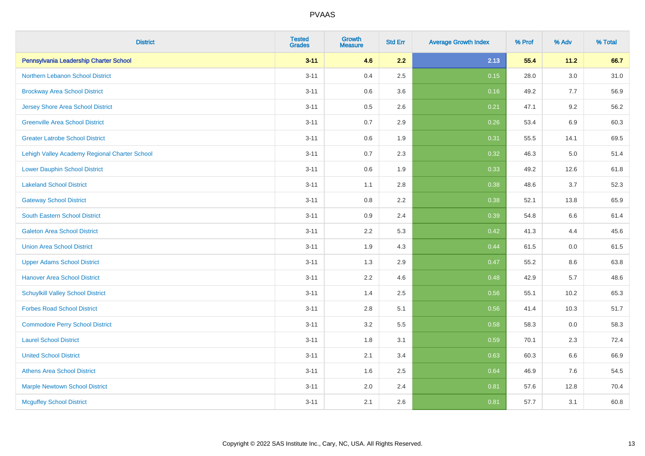| <b>District</b>                               | <b>Tested</b><br><b>Grades</b> | Growth<br>Measure | <b>Std Err</b> | <b>Average Growth Index</b> | % Prof | % Adv   | % Total |
|-----------------------------------------------|--------------------------------|-------------------|----------------|-----------------------------|--------|---------|---------|
| Pennsylvania Leadership Charter School        | $3 - 11$                       | 4.6               | 2.2            | 2.13                        | 55.4   | 11.2    | 66.7    |
| Northern Lebanon School District              | $3 - 11$                       | 0.4               | 2.5            | 0.15                        | 28.0   | 3.0     | 31.0    |
| <b>Brockway Area School District</b>          | $3 - 11$                       | 0.6               | 3.6            | 0.16                        | 49.2   | 7.7     | 56.9    |
| <b>Jersey Shore Area School District</b>      | $3 - 11$                       | 0.5               | 2.6            | 0.21                        | 47.1   | 9.2     | 56.2    |
| <b>Greenville Area School District</b>        | $3 - 11$                       | 0.7               | 2.9            | 0.26                        | 53.4   | 6.9     | 60.3    |
| <b>Greater Latrobe School District</b>        | $3 - 11$                       | 0.6               | 1.9            | 0.31                        | 55.5   | 14.1    | 69.5    |
| Lehigh Valley Academy Regional Charter School | $3 - 11$                       | 0.7               | 2.3            | 0.32                        | 46.3   | $5.0\,$ | 51.4    |
| <b>Lower Dauphin School District</b>          | $3 - 11$                       | 0.6               | 1.9            | 0.33                        | 49.2   | 12.6    | 61.8    |
| <b>Lakeland School District</b>               | $3 - 11$                       | 1.1               | 2.8            | 0.38                        | 48.6   | 3.7     | 52.3    |
| <b>Gateway School District</b>                | $3 - 11$                       | $0.8\,$           | 2.2            | 0.38                        | 52.1   | 13.8    | 65.9    |
| <b>South Eastern School District</b>          | $3 - 11$                       | 0.9               | 2.4            | 0.39                        | 54.8   | 6.6     | 61.4    |
| <b>Galeton Area School District</b>           | $3 - 11$                       | 2.2               | 5.3            | 0.42                        | 41.3   | 4.4     | 45.6    |
| <b>Union Area School District</b>             | $3 - 11$                       | 1.9               | 4.3            | 0.44                        | 61.5   | $0.0\,$ | 61.5    |
| <b>Upper Adams School District</b>            | $3 - 11$                       | 1.3               | 2.9            | 0.47                        | 55.2   | 8.6     | 63.8    |
| <b>Hanover Area School District</b>           | $3 - 11$                       | 2.2               | 4.6            | 0.48                        | 42.9   | 5.7     | 48.6    |
| <b>Schuylkill Valley School District</b>      | $3 - 11$                       | 1.4               | 2.5            | 0.56                        | 55.1   | 10.2    | 65.3    |
| <b>Forbes Road School District</b>            | $3 - 11$                       | 2.8               | 5.1            | 0.56                        | 41.4   | 10.3    | 51.7    |
| <b>Commodore Perry School District</b>        | $3 - 11$                       | 3.2               | 5.5            | 0.58                        | 58.3   | 0.0     | 58.3    |
| <b>Laurel School District</b>                 | $3 - 11$                       | 1.8               | 3.1            | 0.59                        | 70.1   | 2.3     | 72.4    |
| <b>United School District</b>                 | $3 - 11$                       | 2.1               | 3.4            | 0.63                        | 60.3   | 6.6     | 66.9    |
| <b>Athens Area School District</b>            | $3 - 11$                       | 1.6               | 2.5            | 0.64                        | 46.9   | 7.6     | 54.5    |
| <b>Marple Newtown School District</b>         | $3 - 11$                       | 2.0               | 2.4            | 0.81                        | 57.6   | 12.8    | 70.4    |
| <b>Mcguffey School District</b>               | $3 - 11$                       | 2.1               | 2.6            | 0.81                        | 57.7   | 3.1     | 60.8    |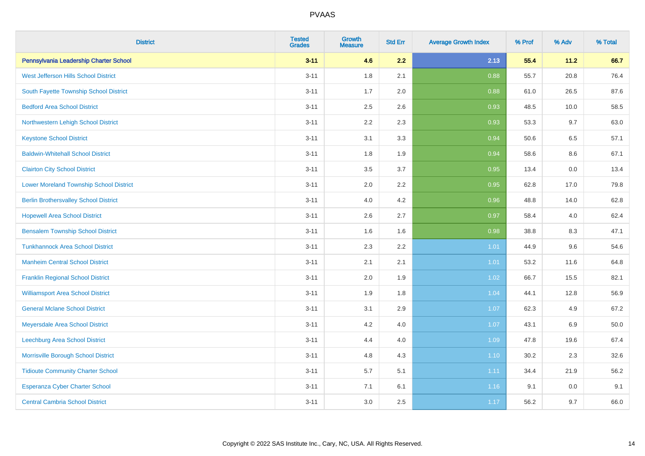| <b>District</b>                                | <b>Tested</b><br><b>Grades</b> | <b>Growth</b><br><b>Measure</b> | <b>Std Err</b> | <b>Average Growth Index</b> | % Prof | % Adv   | % Total  |
|------------------------------------------------|--------------------------------|---------------------------------|----------------|-----------------------------|--------|---------|----------|
| Pennsylvania Leadership Charter School         | $3 - 11$                       | 4.6                             | 2.2            | 2.13                        | 55.4   | 11.2    | 66.7     |
| West Jefferson Hills School District           | $3 - 11$                       | 1.8                             | 2.1            | 0.88                        | 55.7   | 20.8    | 76.4     |
| South Fayette Township School District         | $3 - 11$                       | 1.7                             | 2.0            | 0.88                        | 61.0   | 26.5    | 87.6     |
| <b>Bedford Area School District</b>            | $3 - 11$                       | 2.5                             | 2.6            | 0.93                        | 48.5   | 10.0    | 58.5     |
| Northwestern Lehigh School District            | $3 - 11$                       | 2.2                             | 2.3            | 0.93                        | 53.3   | 9.7     | 63.0     |
| <b>Keystone School District</b>                | $3 - 11$                       | 3.1                             | 3.3            | 0.94                        | 50.6   | 6.5     | 57.1     |
| <b>Baldwin-Whitehall School District</b>       | $3 - 11$                       | 1.8                             | 1.9            | 0.94                        | 58.6   | $8.6\,$ | 67.1     |
| <b>Clairton City School District</b>           | $3 - 11$                       | 3.5                             | 3.7            | 0.95                        | 13.4   | 0.0     | 13.4     |
| <b>Lower Moreland Township School District</b> | $3 - 11$                       | 2.0                             | 2.2            | 0.95                        | 62.8   | 17.0    | 79.8     |
| <b>Berlin Brothersvalley School District</b>   | $3 - 11$                       | 4.0                             | 4.2            | 0.96                        | 48.8   | 14.0    | 62.8     |
| <b>Hopewell Area School District</b>           | $3 - 11$                       | 2.6                             | 2.7            | 0.97                        | 58.4   | 4.0     | 62.4     |
| <b>Bensalem Township School District</b>       | $3 - 11$                       | 1.6                             | 1.6            | 0.98                        | 38.8   | 8.3     | 47.1     |
| <b>Tunkhannock Area School District</b>        | $3 - 11$                       | 2.3                             | 2.2            | 1.01                        | 44.9   | 9.6     | 54.6     |
| <b>Manheim Central School District</b>         | $3 - 11$                       | 2.1                             | 2.1            | 1.01                        | 53.2   | 11.6    | 64.8     |
| <b>Franklin Regional School District</b>       | $3 - 11$                       | 2.0                             | 1.9            | 1.02                        | 66.7   | 15.5    | 82.1     |
| <b>Williamsport Area School District</b>       | $3 - 11$                       | 1.9                             | 1.8            | 1.04                        | 44.1   | 12.8    | 56.9     |
| <b>General Mclane School District</b>          | $3 - 11$                       | 3.1                             | 2.9            | 1.07                        | 62.3   | 4.9     | 67.2     |
| Meyersdale Area School District                | $3 - 11$                       | 4.2                             | 4.0            | 1.07                        | 43.1   | 6.9     | $50.0\,$ |
| Leechburg Area School District                 | $3 - 11$                       | 4.4                             | 4.0            | 1.09                        | 47.8   | 19.6    | 67.4     |
| Morrisville Borough School District            | $3 - 11$                       | 4.8                             | 4.3            | 1.10                        | 30.2   | 2.3     | 32.6     |
| <b>Tidioute Community Charter School</b>       | $3 - 11$                       | 5.7                             | 5.1            | 1.11                        | 34.4   | 21.9    | 56.2     |
| Esperanza Cyber Charter School                 | $3 - 11$                       | 7.1                             | 6.1            | 1.16                        | 9.1    | 0.0     | 9.1      |
| <b>Central Cambria School District</b>         | $3 - 11$                       | 3.0                             | 2.5            | 1.17                        | 56.2   | 9.7     | 66.0     |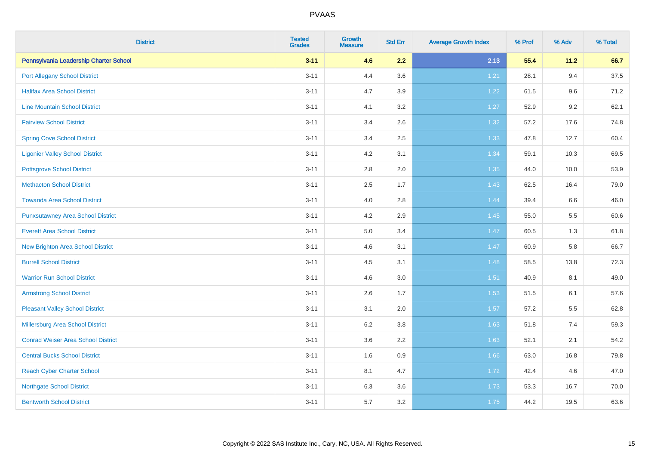| <b>District</b>                           | <b>Tested</b><br><b>Grades</b> | Growth<br><b>Measure</b> | <b>Std Err</b> | <b>Average Growth Index</b> | % Prof | % Adv | % Total |
|-------------------------------------------|--------------------------------|--------------------------|----------------|-----------------------------|--------|-------|---------|
| Pennsylvania Leadership Charter School    | $3 - 11$                       | 4.6                      | 2.2            | 2.13                        | 55.4   | 11.2  | 66.7    |
| <b>Port Allegany School District</b>      | $3 - 11$                       | 4.4                      | 3.6            | 1.21                        | 28.1   | 9.4   | 37.5    |
| <b>Halifax Area School District</b>       | $3 - 11$                       | 4.7                      | 3.9            | 1.22                        | 61.5   | 9.6   | 71.2    |
| <b>Line Mountain School District</b>      | $3 - 11$                       | 4.1                      | 3.2            | 1.27                        | 52.9   | 9.2   | 62.1    |
| <b>Fairview School District</b>           | $3 - 11$                       | 3.4                      | 2.6            | 1.32                        | 57.2   | 17.6  | 74.8    |
| <b>Spring Cove School District</b>        | $3 - 11$                       | 3.4                      | 2.5            | 1.33                        | 47.8   | 12.7  | 60.4    |
| <b>Ligonier Valley School District</b>    | $3 - 11$                       | 4.2                      | 3.1            | 1.34                        | 59.1   | 10.3  | 69.5    |
| <b>Pottsgrove School District</b>         | $3 - 11$                       | 2.8                      | 2.0            | 1.35                        | 44.0   | 10.0  | 53.9    |
| <b>Methacton School District</b>          | $3 - 11$                       | 2.5                      | 1.7            | 1.43                        | 62.5   | 16.4  | 79.0    |
| <b>Towanda Area School District</b>       | $3 - 11$                       | 4.0                      | 2.8            | 1.44                        | 39.4   | 6.6   | 46.0    |
| <b>Punxsutawney Area School District</b>  | $3 - 11$                       | 4.2                      | 2.9            | 1.45                        | 55.0   | 5.5   | 60.6    |
| <b>Everett Area School District</b>       | $3 - 11$                       | 5.0                      | 3.4            | 1.47                        | 60.5   | 1.3   | 61.8    |
| <b>New Brighton Area School District</b>  | $3 - 11$                       | 4.6                      | 3.1            | 1.47                        | 60.9   | 5.8   | 66.7    |
| <b>Burrell School District</b>            | $3 - 11$                       | 4.5                      | 3.1            | 1.48                        | 58.5   | 13.8  | 72.3    |
| <b>Warrior Run School District</b>        | $3 - 11$                       | 4.6                      | $3.0\,$        | 1.51                        | 40.9   | 8.1   | 49.0    |
| <b>Armstrong School District</b>          | $3 - 11$                       | 2.6                      | 1.7            | 1.53                        | 51.5   | 6.1   | 57.6    |
| <b>Pleasant Valley School District</b>    | $3 - 11$                       | 3.1                      | 2.0            | 1.57                        | 57.2   | 5.5   | 62.8    |
| Millersburg Area School District          | $3 - 11$                       | 6.2                      | 3.8            | 1.63                        | 51.8   | 7.4   | 59.3    |
| <b>Conrad Weiser Area School District</b> | $3 - 11$                       | 3.6                      | 2.2            | 1.63                        | 52.1   | 2.1   | 54.2    |
| <b>Central Bucks School District</b>      | $3 - 11$                       | 1.6                      | 0.9            | 1.66                        | 63.0   | 16.8  | 79.8    |
| <b>Reach Cyber Charter School</b>         | $3 - 11$                       | 8.1                      | 4.7            | 1.72                        | 42.4   | 4.6   | 47.0    |
| <b>Northgate School District</b>          | $3 - 11$                       | 6.3                      | 3.6            | 1.73                        | 53.3   | 16.7  | 70.0    |
| <b>Bentworth School District</b>          | $3 - 11$                       | 5.7                      | 3.2            | 1.75                        | 44.2   | 19.5  | 63.6    |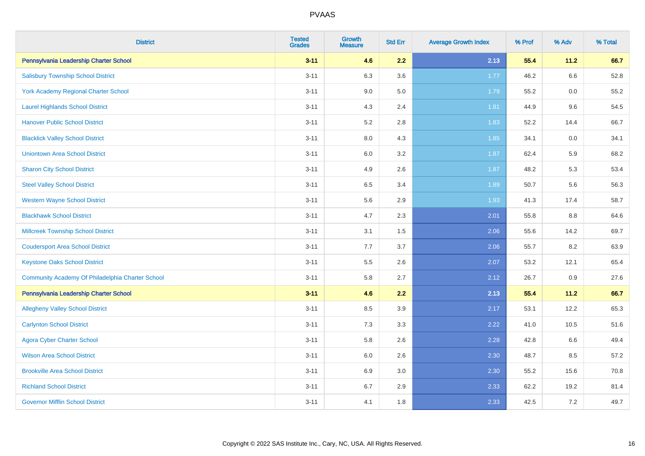| <b>District</b>                                  | <b>Tested</b><br><b>Grades</b> | <b>Growth</b><br><b>Measure</b> | <b>Std Err</b> | <b>Average Growth Index</b> | % Prof | % Adv   | % Total |
|--------------------------------------------------|--------------------------------|---------------------------------|----------------|-----------------------------|--------|---------|---------|
| Pennsylvania Leadership Charter School           | $3 - 11$                       | 4.6                             | 2.2            | 2.13                        | 55.4   | 11.2    | 66.7    |
| <b>Salisbury Township School District</b>        | $3 - 11$                       | 6.3                             | 3.6            | $1.77$                      | 46.2   | 6.6     | 52.8    |
| <b>York Academy Regional Charter School</b>      | $3 - 11$                       | 9.0                             | 5.0            | 1.79                        | 55.2   | 0.0     | 55.2    |
| <b>Laurel Highlands School District</b>          | $3 - 11$                       | 4.3                             | 2.4            | 1.81                        | 44.9   | 9.6     | 54.5    |
| <b>Hanover Public School District</b>            | $3 - 11$                       | 5.2                             | 2.8            | 1.83                        | 52.2   | 14.4    | 66.7    |
| <b>Blacklick Valley School District</b>          | $3 - 11$                       | 8.0                             | 4.3            | 1.85                        | 34.1   | $0.0\,$ | 34.1    |
| <b>Uniontown Area School District</b>            | $3 - 11$                       | $6.0\,$                         | 3.2            | 1.87                        | 62.4   | 5.9     | 68.2    |
| <b>Sharon City School District</b>               | $3 - 11$                       | 4.9                             | 2.6            | 1.87                        | 48.2   | 5.3     | 53.4    |
| <b>Steel Valley School District</b>              | $3 - 11$                       | 6.5                             | 3.4            | 1.89                        | 50.7   | 5.6     | 56.3    |
| <b>Western Wayne School District</b>             | $3 - 11$                       | 5.6                             | 2.9            | 1.93                        | 41.3   | 17.4    | 58.7    |
| <b>Blackhawk School District</b>                 | $3 - 11$                       | 4.7                             | 2.3            | 2.01                        | 55.8   | 8.8     | 64.6    |
| <b>Millcreek Township School District</b>        | $3 - 11$                       | 3.1                             | 1.5            | 2.06                        | 55.6   | 14.2    | 69.7    |
| <b>Coudersport Area School District</b>          | $3 - 11$                       | 7.7                             | 3.7            | 2.06                        | 55.7   | 8.2     | 63.9    |
| <b>Keystone Oaks School District</b>             | $3 - 11$                       | $5.5\,$                         | 2.6            | 2.07                        | 53.2   | 12.1    | 65.4    |
| Community Academy Of Philadelphia Charter School | $3 - 11$                       | 5.8                             | 2.7            | 2.12                        | 26.7   | 0.9     | 27.6    |
| Pennsylvania Leadership Charter School           | $3 - 11$                       | 4.6                             | 2.2            | 2.13                        | 55.4   | 11.2    | 66.7    |
| <b>Allegheny Valley School District</b>          | $3 - 11$                       | 8.5                             | 3.9            | 2.17                        | 53.1   | 12.2    | 65.3    |
| <b>Carlynton School District</b>                 | $3 - 11$                       | 7.3                             | 3.3            | 2.22                        | 41.0   | 10.5    | 51.6    |
| <b>Agora Cyber Charter School</b>                | $3 - 11$                       | 5.8                             | 2.6            | 2.28                        | 42.8   | 6.6     | 49.4    |
| <b>Wilson Area School District</b>               | $3 - 11$                       | 6.0                             | 2.6            | 2.30                        | 48.7   | 8.5     | 57.2    |
| <b>Brookville Area School District</b>           | $3 - 11$                       | 6.9                             | 3.0            | 2.30                        | 55.2   | 15.6    | 70.8    |
| <b>Richland School District</b>                  | $3 - 11$                       | 6.7                             | 2.9            | 2.33                        | 62.2   | 19.2    | 81.4    |
| <b>Governor Mifflin School District</b>          | $3 - 11$                       | 4.1                             | 1.8            | 2.33                        | 42.5   | 7.2     | 49.7    |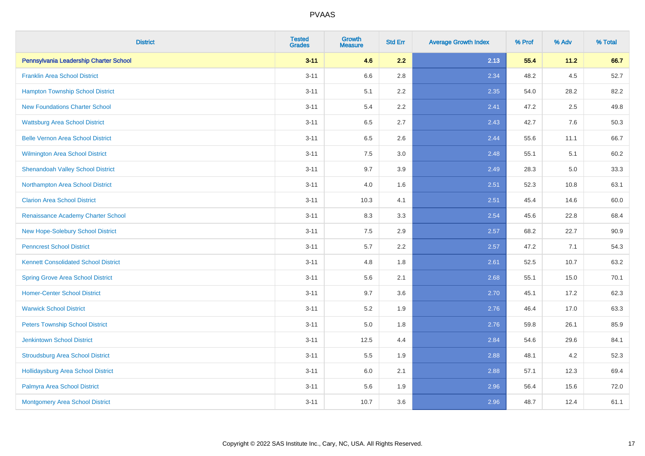| <b>District</b>                             | <b>Tested</b><br><b>Grades</b> | <b>Growth</b><br><b>Measure</b> | <b>Std Err</b> | <b>Average Growth Index</b> | % Prof | % Adv | % Total |
|---------------------------------------------|--------------------------------|---------------------------------|----------------|-----------------------------|--------|-------|---------|
| Pennsylvania Leadership Charter School      | $3 - 11$                       | 4.6                             | 2.2            | 2.13                        | 55.4   | 11.2  | 66.7    |
| <b>Franklin Area School District</b>        | $3 - 11$                       | 6.6                             | 2.8            | 2.34                        | 48.2   | 4.5   | 52.7    |
| <b>Hampton Township School District</b>     | $3 - 11$                       | 5.1                             | 2.2            | 2.35                        | 54.0   | 28.2  | 82.2    |
| <b>New Foundations Charter School</b>       | $3 - 11$                       | 5.4                             | 2.2            | 2.41                        | 47.2   | 2.5   | 49.8    |
| <b>Wattsburg Area School District</b>       | $3 - 11$                       | 6.5                             | 2.7            | 2.43                        | 42.7   | 7.6   | 50.3    |
| <b>Belle Vernon Area School District</b>    | $3 - 11$                       | 6.5                             | 2.6            | 2.44                        | 55.6   | 11.1  | 66.7    |
| <b>Wilmington Area School District</b>      | $3 - 11$                       | 7.5                             | 3.0            | 2.48                        | 55.1   | 5.1   | 60.2    |
| <b>Shenandoah Valley School District</b>    | $3 - 11$                       | 9.7                             | 3.9            | 2.49                        | 28.3   | 5.0   | 33.3    |
| Northampton Area School District            | $3 - 11$                       | 4.0                             | 1.6            | 2.51                        | 52.3   | 10.8  | 63.1    |
| <b>Clarion Area School District</b>         | $3 - 11$                       | 10.3                            | 4.1            | 2.51                        | 45.4   | 14.6  | 60.0    |
| Renaissance Academy Charter School          | $3 - 11$                       | 8.3                             | 3.3            | 2.54                        | 45.6   | 22.8  | 68.4    |
| New Hope-Solebury School District           | $3 - 11$                       | $7.5\,$                         | 2.9            | 2.57                        | 68.2   | 22.7  | 90.9    |
| <b>Penncrest School District</b>            | $3 - 11$                       | 5.7                             | 2.2            | 2.57                        | 47.2   | 7.1   | 54.3    |
| <b>Kennett Consolidated School District</b> | $3 - 11$                       | 4.8                             | 1.8            | 2.61                        | 52.5   | 10.7  | 63.2    |
| <b>Spring Grove Area School District</b>    | $3 - 11$                       | 5.6                             | 2.1            | 2.68                        | 55.1   | 15.0  | 70.1    |
| <b>Homer-Center School District</b>         | $3 - 11$                       | 9.7                             | 3.6            | 2.70                        | 45.1   | 17.2  | 62.3    |
| <b>Warwick School District</b>              | $3 - 11$                       | 5.2                             | 1.9            | 2.76                        | 46.4   | 17.0  | 63.3    |
| <b>Peters Township School District</b>      | $3 - 11$                       | 5.0                             | 1.8            | 2.76                        | 59.8   | 26.1  | 85.9    |
| <b>Jenkintown School District</b>           | $3 - 11$                       | 12.5                            | 4.4            | 2.84                        | 54.6   | 29.6  | 84.1    |
| <b>Stroudsburg Area School District</b>     | $3 - 11$                       | 5.5                             | 1.9            | 2.88                        | 48.1   | 4.2   | 52.3    |
| <b>Hollidaysburg Area School District</b>   | $3 - 11$                       | 6.0                             | 2.1            | 2.88                        | 57.1   | 12.3  | 69.4    |
| Palmyra Area School District                | $3 - 11$                       | 5.6                             | 1.9            | 2.96                        | 56.4   | 15.6  | 72.0    |
| Montgomery Area School District             | $3 - 11$                       | 10.7                            | 3.6            | 2.96                        | 48.7   | 12.4  | 61.1    |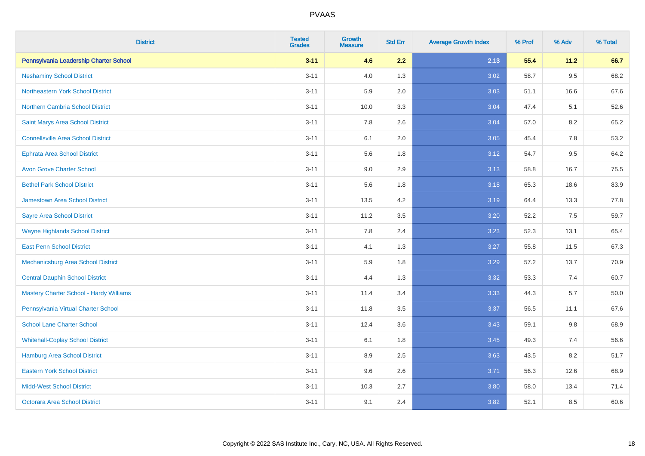| <b>District</b>                                | <b>Tested</b><br><b>Grades</b> | Growth<br><b>Measure</b> | <b>Std Err</b> | <b>Average Growth Index</b> | % Prof | % Adv   | % Total  |
|------------------------------------------------|--------------------------------|--------------------------|----------------|-----------------------------|--------|---------|----------|
| Pennsylvania Leadership Charter School         | $3 - 11$                       | 4.6                      | 2.2            | 2.13                        | 55.4   | 11.2    | 66.7     |
| <b>Neshaminy School District</b>               | $3 - 11$                       | 4.0                      | 1.3            | 3.02                        | 58.7   | 9.5     | 68.2     |
| Northeastern York School District              | $3 - 11$                       | 5.9                      | 2.0            | 3.03                        | 51.1   | 16.6    | 67.6     |
| <b>Northern Cambria School District</b>        | $3 - 11$                       | 10.0                     | 3.3            | 3.04                        | 47.4   | 5.1     | 52.6     |
| Saint Marys Area School District               | $3 - 11$                       | 7.8                      | 2.6            | 3.04                        | 57.0   | 8.2     | 65.2     |
| <b>Connellsville Area School District</b>      | $3 - 11$                       | 6.1                      | 2.0            | 3.05                        | 45.4   | $7.8\,$ | 53.2     |
| <b>Ephrata Area School District</b>            | $3 - 11$                       | 5.6                      | 1.8            | 3.12                        | 54.7   | 9.5     | 64.2     |
| <b>Avon Grove Charter School</b>               | $3 - 11$                       | 9.0                      | 2.9            | 3.13                        | 58.8   | 16.7    | 75.5     |
| <b>Bethel Park School District</b>             | $3 - 11$                       | 5.6                      | 1.8            | 3.18                        | 65.3   | 18.6    | 83.9     |
| <b>Jamestown Area School District</b>          | $3 - 11$                       | 13.5                     | 4.2            | 3.19                        | 64.4   | 13.3    | 77.8     |
| <b>Sayre Area School District</b>              | $3 - 11$                       | 11.2                     | 3.5            | 3.20                        | 52.2   | 7.5     | 59.7     |
| <b>Wayne Highlands School District</b>         | $3 - 11$                       | 7.8                      | 2.4            | 3.23                        | 52.3   | 13.1    | 65.4     |
| <b>East Penn School District</b>               | $3 - 11$                       | 4.1                      | 1.3            | 3.27                        | 55.8   | 11.5    | 67.3     |
| Mechanicsburg Area School District             | $3 - 11$                       | 5.9                      | 1.8            | 3.29                        | 57.2   | 13.7    | 70.9     |
| <b>Central Dauphin School District</b>         | $3 - 11$                       | 4.4                      | 1.3            | 3.32                        | 53.3   | 7.4     | 60.7     |
| <b>Mastery Charter School - Hardy Williams</b> | $3 - 11$                       | 11.4                     | 3.4            | 3.33                        | 44.3   | 5.7     | $50.0\,$ |
| Pennsylvania Virtual Charter School            | $3 - 11$                       | 11.8                     | 3.5            | 3.37                        | 56.5   | 11.1    | 67.6     |
| <b>School Lane Charter School</b>              | $3 - 11$                       | 12.4                     | 3.6            | 3.43                        | 59.1   | 9.8     | 68.9     |
| <b>Whitehall-Coplay School District</b>        | $3 - 11$                       | 6.1                      | 1.8            | 3.45                        | 49.3   | 7.4     | 56.6     |
| Hamburg Area School District                   | $3 - 11$                       | 8.9                      | 2.5            | 3.63                        | 43.5   | 8.2     | 51.7     |
| <b>Eastern York School District</b>            | $3 - 11$                       | 9.6                      | 2.6            | 3.71                        | 56.3   | 12.6    | 68.9     |
| <b>Midd-West School District</b>               | $3 - 11$                       | 10.3                     | 2.7            | 3.80                        | 58.0   | 13.4    | 71.4     |
| <b>Octorara Area School District</b>           | $3 - 11$                       | 9.1                      | 2.4            | 3.82                        | 52.1   | 8.5     | 60.6     |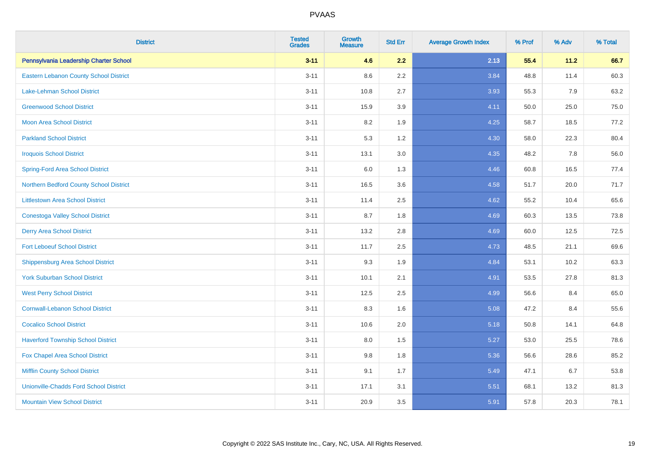| <b>District</b>                               | <b>Tested</b><br><b>Grades</b> | <b>Growth</b><br><b>Measure</b> | <b>Std Err</b> | <b>Average Growth Index</b> | % Prof | % Adv | % Total |
|-----------------------------------------------|--------------------------------|---------------------------------|----------------|-----------------------------|--------|-------|---------|
| Pennsylvania Leadership Charter School        | $3 - 11$                       | 4.6                             | 2.2            | 2.13                        | 55.4   | 11.2  | 66.7    |
| Eastern Lebanon County School District        | $3 - 11$                       | 8.6                             | 2.2            | 3.84                        | 48.8   | 11.4  | 60.3    |
| <b>Lake-Lehman School District</b>            | $3 - 11$                       | 10.8                            | 2.7            | 3.93                        | 55.3   | 7.9   | 63.2    |
| <b>Greenwood School District</b>              | $3 - 11$                       | 15.9                            | 3.9            | 4.11                        | 50.0   | 25.0  | 75.0    |
| <b>Moon Area School District</b>              | $3 - 11$                       | 8.2                             | 1.9            | 4.25                        | 58.7   | 18.5  | 77.2    |
| <b>Parkland School District</b>               | $3 - 11$                       | 5.3                             | 1.2            | 4.30                        | 58.0   | 22.3  | 80.4    |
| <b>Iroquois School District</b>               | $3 - 11$                       | 13.1                            | 3.0            | 4.35                        | 48.2   | 7.8   | 56.0    |
| <b>Spring-Ford Area School District</b>       | $3 - 11$                       | 6.0                             | 1.3            | 4.46                        | 60.8   | 16.5  | 77.4    |
| Northern Bedford County School District       | $3 - 11$                       | 16.5                            | 3.6            | 4.58                        | 51.7   | 20.0  | 71.7    |
| <b>Littlestown Area School District</b>       | $3 - 11$                       | 11.4                            | 2.5            | 4.62                        | 55.2   | 10.4  | 65.6    |
| <b>Conestoga Valley School District</b>       | $3 - 11$                       | 8.7                             | 1.8            | 4.69                        | 60.3   | 13.5  | 73.8    |
| <b>Derry Area School District</b>             | $3 - 11$                       | 13.2                            | 2.8            | 4.69                        | 60.0   | 12.5  | 72.5    |
| <b>Fort Leboeuf School District</b>           | $3 - 11$                       | 11.7                            | 2.5            | 4.73                        | 48.5   | 21.1  | 69.6    |
| <b>Shippensburg Area School District</b>      | $3 - 11$                       | 9.3                             | 1.9            | 4.84                        | 53.1   | 10.2  | 63.3    |
| <b>York Suburban School District</b>          | $3 - 11$                       | 10.1                            | 2.1            | 4.91                        | 53.5   | 27.8  | 81.3    |
| <b>West Perry School District</b>             | $3 - 11$                       | 12.5                            | 2.5            | 4.99                        | 56.6   | 8.4   | 65.0    |
| <b>Cornwall-Lebanon School District</b>       | $3 - 11$                       | 8.3                             | 1.6            | 5.08                        | 47.2   | 8.4   | 55.6    |
| <b>Cocalico School District</b>               | $3 - 11$                       | 10.6                            | 2.0            | 5.18                        | 50.8   | 14.1  | 64.8    |
| <b>Haverford Township School District</b>     | $3 - 11$                       | 8.0                             | 1.5            | 5.27                        | 53.0   | 25.5  | 78.6    |
| Fox Chapel Area School District               | $3 - 11$                       | 9.8                             | 1.8            | 5.36                        | 56.6   | 28.6  | 85.2    |
| <b>Mifflin County School District</b>         | $3 - 11$                       | 9.1                             | 1.7            | 5.49                        | 47.1   | 6.7   | 53.8    |
| <b>Unionville-Chadds Ford School District</b> | $3 - 11$                       | 17.1                            | 3.1            | 5.51                        | 68.1   | 13.2  | 81.3    |
| <b>Mountain View School District</b>          | $3 - 11$                       | 20.9                            | 3.5            | 5.91                        | 57.8   | 20.3  | 78.1    |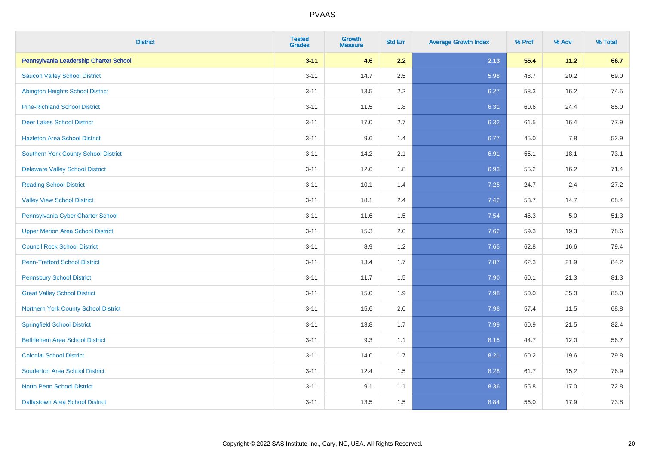| <b>District</b>                          | <b>Tested</b><br><b>Grades</b> | <b>Growth</b><br><b>Measure</b> | <b>Std Err</b> | <b>Average Growth Index</b> | % Prof | % Adv | % Total |
|------------------------------------------|--------------------------------|---------------------------------|----------------|-----------------------------|--------|-------|---------|
| Pennsylvania Leadership Charter School   | $3 - 11$                       | 4.6                             | 2.2            | 2.13                        | 55.4   | 11.2  | 66.7    |
| <b>Saucon Valley School District</b>     | $3 - 11$                       | 14.7                            | 2.5            | 5.98                        | 48.7   | 20.2  | 69.0    |
| <b>Abington Heights School District</b>  | $3 - 11$                       | 13.5                            | 2.2            | 6.27                        | 58.3   | 16.2  | 74.5    |
| <b>Pine-Richland School District</b>     | $3 - 11$                       | 11.5                            | 1.8            | 6.31                        | 60.6   | 24.4  | 85.0    |
| <b>Deer Lakes School District</b>        | $3 - 11$                       | 17.0                            | 2.7            | 6.32                        | 61.5   | 16.4  | 77.9    |
| <b>Hazleton Area School District</b>     | $3 - 11$                       | 9.6                             | 1.4            | 6.77                        | 45.0   | 7.8   | 52.9    |
| Southern York County School District     | $3 - 11$                       | 14.2                            | 2.1            | 6.91                        | 55.1   | 18.1  | 73.1    |
| <b>Delaware Valley School District</b>   | $3 - 11$                       | 12.6                            | 1.8            | 6.93                        | 55.2   | 16.2  | 71.4    |
| <b>Reading School District</b>           | $3 - 11$                       | 10.1                            | 1.4            | 7.25                        | 24.7   | 2.4   | 27.2    |
| <b>Valley View School District</b>       | $3 - 11$                       | 18.1                            | 2.4            | 7.42                        | 53.7   | 14.7  | 68.4    |
| Pennsylvania Cyber Charter School        | $3 - 11$                       | 11.6                            | 1.5            | 7.54                        | 46.3   | 5.0   | 51.3    |
| <b>Upper Merion Area School District</b> | $3 - 11$                       | 15.3                            | 2.0            | 7.62                        | 59.3   | 19.3  | 78.6    |
| <b>Council Rock School District</b>      | $3 - 11$                       | 8.9                             | 1.2            | 7.65                        | 62.8   | 16.6  | 79.4    |
| <b>Penn-Trafford School District</b>     | $3 - 11$                       | 13.4                            | 1.7            | 7.87                        | 62.3   | 21.9  | 84.2    |
| <b>Pennsbury School District</b>         | $3 - 11$                       | 11.7                            | 1.5            | 7.90                        | 60.1   | 21.3  | 81.3    |
| <b>Great Valley School District</b>      | $3 - 11$                       | 15.0                            | 1.9            | 7.98                        | 50.0   | 35.0  | 85.0    |
| Northern York County School District     | $3 - 11$                       | 15.6                            | 2.0            | 7.98                        | 57.4   | 11.5  | 68.8    |
| <b>Springfield School District</b>       | $3 - 11$                       | 13.8                            | 1.7            | 7.99                        | 60.9   | 21.5  | 82.4    |
| <b>Bethlehem Area School District</b>    | $3 - 11$                       | 9.3                             | 1.1            | 8.15                        | 44.7   | 12.0  | 56.7    |
| <b>Colonial School District</b>          | $3 - 11$                       | 14.0                            | 1.7            | 8.21                        | 60.2   | 19.6  | 79.8    |
| <b>Souderton Area School District</b>    | $3 - 11$                       | 12.4                            | 1.5            | 8.28                        | 61.7   | 15.2  | 76.9    |
| <b>North Penn School District</b>        | $3 - 11$                       | 9.1                             | 1.1            | 8.36                        | 55.8   | 17.0  | 72.8    |
| <b>Dallastown Area School District</b>   | $3 - 11$                       | 13.5                            | 1.5            | 8.84                        | 56.0   | 17.9  | 73.8    |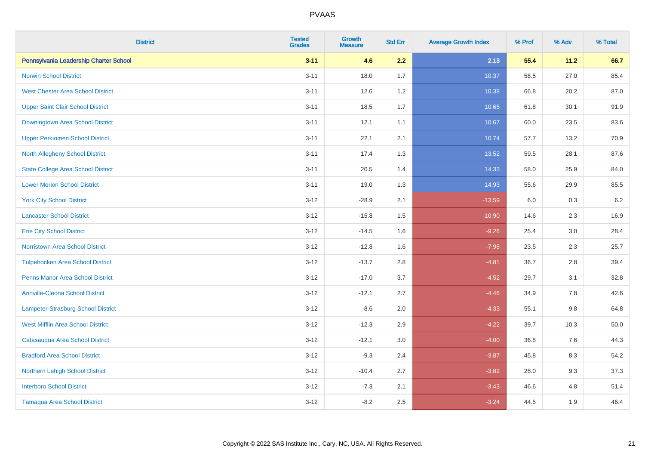| <b>District</b>                           | <b>Tested</b><br><b>Grades</b> | <b>Growth</b><br><b>Measure</b> | <b>Std Err</b> | <b>Average Growth Index</b> | % Prof | % Adv   | % Total |
|-------------------------------------------|--------------------------------|---------------------------------|----------------|-----------------------------|--------|---------|---------|
| Pennsylvania Leadership Charter School    | $3 - 11$                       | 4.6                             | 2.2            | 2.13                        | 55.4   | 11.2    | 66.7    |
| <b>Norwin School District</b>             | $3 - 11$                       | 18.0                            | 1.7            | 10.37                       | 58.5   | 27.0    | 85.4    |
| <b>West Chester Area School District</b>  | $3 - 11$                       | 12.6                            | 1.2            | 10.38                       | 66.8   | 20.2    | 87.0    |
| <b>Upper Saint Clair School District</b>  | $3 - 11$                       | 18.5                            | 1.7            | 10.65                       | 61.8   | 30.1    | 91.9    |
| Downingtown Area School District          | $3 - 11$                       | 12.1                            | 1.1            | 10.67                       | 60.0   | 23.5    | 83.6    |
| <b>Upper Perkiomen School District</b>    | $3 - 11$                       | 22.1                            | 2.1            | 10.74                       | 57.7   | 13.2    | 70.9    |
| <b>North Allegheny School District</b>    | $3 - 11$                       | 17.4                            | 1.3            | 13.52                       | 59.5   | 28.1    | 87.6    |
| <b>State College Area School District</b> | $3 - 11$                       | 20.5                            | 1.4            | 14.33                       | 58.0   | 25.9    | 84.0    |
| <b>Lower Merion School District</b>       | $3 - 11$                       | 19.0                            | 1.3            | 14.93                       | 55.6   | 29.9    | 85.5    |
| <b>York City School District</b>          | $3 - 12$                       | $-28.9$                         | 2.1            | $-13.59$                    | 6.0    | $0.3\,$ | $6.2\,$ |
| <b>Lancaster School District</b>          | $3 - 12$                       | $-15.8$                         | 1.5            | $-10.90$                    | 14.6   | 2.3     | 16.9    |
| <b>Erie City School District</b>          | $3 - 12$                       | $-14.5$                         | 1.6            | $-9.26$                     | 25.4   | 3.0     | 28.4    |
| Norristown Area School District           | $3-12$                         | $-12.8$                         | 1.6            | $-7.98$                     | 23.5   | 2.3     | 25.7    |
| <b>Tulpehocken Area School District</b>   | $3 - 12$                       | $-13.7$                         | 2.8            | $-4.81$                     | 36.7   | 2.8     | 39.4    |
| <b>Penns Manor Area School District</b>   | $3 - 12$                       | $-17.0$                         | 3.7            | $-4.52$                     | 29.7   | 3.1     | 32.8    |
| <b>Annville-Cleona School District</b>    | $3 - 12$                       | $-12.1$                         | 2.7            | $-4.46$                     | 34.9   | 7.8     | 42.6    |
| Lampeter-Strasburg School District        | $3-12$                         | $-8.6$                          | 2.0            | $-4.33$                     | 55.1   | $9.8\,$ | 64.8    |
| <b>West Mifflin Area School District</b>  | $3-12$                         | $-12.3$                         | 2.9            | $-4.22$                     | 39.7   | 10.3    | 50.0    |
| Catasauqua Area School District           | $3 - 12$                       | $-12.1$                         | 3.0            | $-4.00$                     | 36.8   | 7.6     | 44.3    |
| <b>Bradford Area School District</b>      | $3 - 12$                       | $-9.3$                          | 2.4            | $-3.87$                     | 45.8   | 8.3     | 54.2    |
| Northern Lehigh School District           | $3 - 12$                       | $-10.4$                         | 2.7            | $-3.82$                     | 28.0   | 9.3     | 37.3    |
| <b>Interboro School District</b>          | $3-12$                         | $-7.3$                          | 2.1            | $-3.43$                     | 46.6   | 4.8     | 51.4    |
| <b>Tamaqua Area School District</b>       | $3 - 12$                       | $-8.2$                          | 2.5            | $-3.24$                     | 44.5   | 1.9     | 46.4    |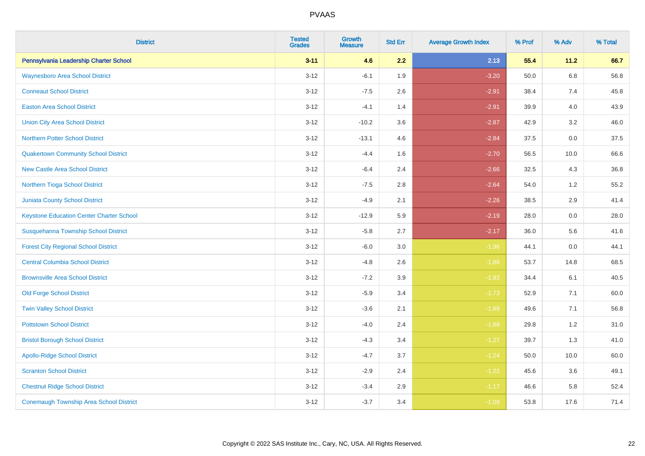| <b>District</b>                                 | <b>Tested</b><br><b>Grades</b> | <b>Growth</b><br><b>Measure</b> | <b>Std Err</b> | <b>Average Growth Index</b> | % Prof | % Adv | % Total |
|-------------------------------------------------|--------------------------------|---------------------------------|----------------|-----------------------------|--------|-------|---------|
| Pennsylvania Leadership Charter School          | $3 - 11$                       | 4.6                             | 2.2            | 2.13                        | 55.4   | 11.2  | 66.7    |
| <b>Waynesboro Area School District</b>          | $3 - 12$                       | $-6.1$                          | 1.9            | $-3.20$                     | 50.0   | 6.8   | 56.8    |
| <b>Conneaut School District</b>                 | $3 - 12$                       | $-7.5$                          | 2.6            | $-2.91$                     | 38.4   | 7.4   | 45.8    |
| <b>Easton Area School District</b>              | $3 - 12$                       | $-4.1$                          | 1.4            | $-2.91$                     | 39.9   | 4.0   | 43.9    |
| <b>Union City Area School District</b>          | $3 - 12$                       | $-10.2$                         | 3.6            | $-2.87$                     | 42.9   | 3.2   | 46.0    |
| Northern Potter School District                 | $3 - 12$                       | $-13.1$                         | 4.6            | $-2.84$                     | 37.5   | 0.0   | 37.5    |
| <b>Quakertown Community School District</b>     | $3 - 12$                       | $-4.4$                          | 1.6            | $-2.70$                     | 56.5   | 10.0  | 66.6    |
| <b>New Castle Area School District</b>          | $3 - 12$                       | $-6.4$                          | 2.4            | $-2.66$                     | 32.5   | 4.3   | 36.8    |
| Northern Tioga School District                  | $3 - 12$                       | $-7.5$                          | 2.8            | $-2.64$                     | 54.0   | 1.2   | 55.2    |
| <b>Juniata County School District</b>           | $3 - 12$                       | $-4.9$                          | 2.1            | $-2.26$                     | 38.5   | 2.9   | 41.4    |
| <b>Keystone Education Center Charter School</b> | $3 - 12$                       | $-12.9$                         | 5.9            | $-2.19$                     | 28.0   | 0.0   | 28.0    |
| Susquehanna Township School District            | $3 - 12$                       | $-5.8$                          | 2.7            | $-2.17$                     | 36.0   | 5.6   | 41.6    |
| <b>Forest City Regional School District</b>     | $3-12$                         | $-6.0$                          | $3.0\,$        | $-1.96$                     | 44.1   | 0.0   | 44.1    |
| <b>Central Columbia School District</b>         | $3 - 12$                       | $-4.8$                          | 2.6            | $-1.86$                     | 53.7   | 14.8  | 68.5    |
| <b>Brownsville Area School District</b>         | $3 - 12$                       | $-7.2$                          | 3.9            | $-1.83$                     | 34.4   | 6.1   | 40.5    |
| <b>Old Forge School District</b>                | $3 - 12$                       | $-5.9$                          | 3.4            | $-1.73$                     | 52.9   | 7.1   | 60.0    |
| <b>Twin Valley School District</b>              | $3 - 12$                       | $-3.6$                          | 2.1            | $-1.69$                     | 49.6   | 7.1   | 56.8    |
| <b>Pottstown School District</b>                | $3 - 12$                       | $-4.0$                          | 2.4            | $-1.68$                     | 29.8   | 1.2   | 31.0    |
| <b>Bristol Borough School District</b>          | $3 - 12$                       | $-4.3$                          | 3.4            | $-1.27$                     | 39.7   | 1.3   | 41.0    |
| <b>Apollo-Ridge School District</b>             | $3 - 12$                       | $-4.7$                          | 3.7            | $-1.24$                     | 50.0   | 10.0  | 60.0    |
| <b>Scranton School District</b>                 | $3 - 12$                       | $-2.9$                          | 2.4            | $-1.22$                     | 45.6   | 3.6   | 49.1    |
| <b>Chestnut Ridge School District</b>           | $3 - 12$                       | $-3.4$                          | 2.9            | $-1.17$                     | 46.6   | 5.8   | 52.4    |
| <b>Conemaugh Township Area School District</b>  | $3 - 12$                       | $-3.7$                          | 3.4            | $-1.09$                     | 53.8   | 17.6  | 71.4    |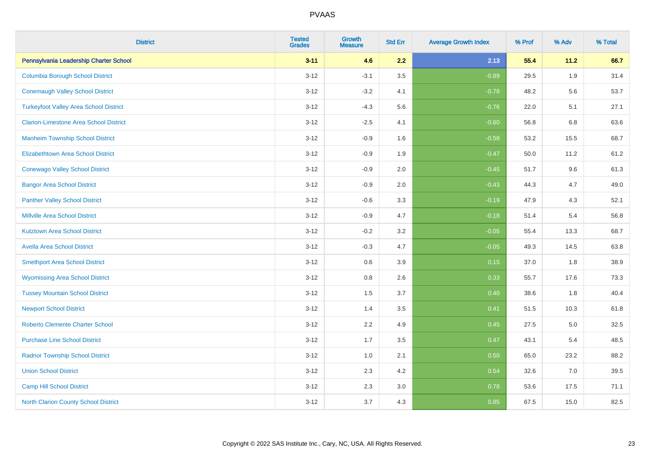| <b>District</b>                               | <b>Tested</b><br><b>Grades</b> | Growth<br><b>Measure</b> | <b>Std Err</b> | <b>Average Growth Index</b> | % Prof | % Adv | % Total |
|-----------------------------------------------|--------------------------------|--------------------------|----------------|-----------------------------|--------|-------|---------|
| Pennsylvania Leadership Charter School        | $3 - 11$                       | 4.6                      | 2.2            | 2.13                        | 55.4   | 11.2  | 66.7    |
| <b>Columbia Borough School District</b>       | $3 - 12$                       | $-3.1$                   | 3.5            | $-0.89$                     | 29.5   | 1.9   | 31.4    |
| <b>Conemaugh Valley School District</b>       | $3 - 12$                       | $-3.2$                   | 4.1            | $-0.78$                     | 48.2   | 5.6   | 53.7    |
| <b>Turkeyfoot Valley Area School District</b> | $3 - 12$                       | $-4.3$                   | 5.6            | $-0.76$                     | 22.0   | 5.1   | 27.1    |
| <b>Clarion-Limestone Area School District</b> | $3 - 12$                       | $-2.5$                   | 4.1            | $-0.60$                     | 56.8   | 6.8   | 63.6    |
| <b>Manheim Township School District</b>       | $3 - 12$                       | $-0.9$                   | 1.6            | $-0.58$                     | 53.2   | 15.5  | 68.7    |
| Elizabethtown Area School District            | $3 - 12$                       | $-0.9$                   | 1.9            | $-0.47$                     | 50.0   | 11.2  | 61.2    |
| <b>Conewago Valley School District</b>        | $3 - 12$                       | $-0.9$                   | 2.0            | $-0.45$                     | 51.7   | 9.6   | 61.3    |
| <b>Bangor Area School District</b>            | $3 - 12$                       | $-0.9$                   | 2.0            | $-0.43$                     | 44.3   | 4.7   | 49.0    |
| <b>Panther Valley School District</b>         | $3 - 12$                       | $-0.6$                   | 3.3            | $-0.19$                     | 47.9   | 4.3   | 52.1    |
| <b>Millville Area School District</b>         | $3 - 12$                       | $-0.9$                   | 4.7            | $-0.18$                     | 51.4   | 5.4   | 56.8    |
| <b>Kutztown Area School District</b>          | $3 - 12$                       | $-0.2$                   | 3.2            | $-0.05$                     | 55.4   | 13.3  | 68.7    |
| <b>Avella Area School District</b>            | $3 - 12$                       | $-0.3$                   | 4.7            | $-0.05$                     | 49.3   | 14.5  | 63.8    |
| <b>Smethport Area School District</b>         | $3 - 12$                       | 0.6                      | 3.9            | 0.15                        | 37.0   | 1.8   | 38.9    |
| <b>Wyomissing Area School District</b>        | $3 - 12$                       | $0.8\,$                  | 2.6            | 0.33                        | 55.7   | 17.6  | 73.3    |
| <b>Tussey Mountain School District</b>        | $3 - 12$                       | 1.5                      | 3.7            | 0.40                        | 38.6   | 1.8   | 40.4    |
| <b>Newport School District</b>                | $3 - 12$                       | 1.4                      | 3.5            | 0.41                        | 51.5   | 10.3  | 61.8    |
| <b>Roberto Clemente Charter School</b>        | $3 - 12$                       | 2.2                      | 4.9            | 0.45                        | 27.5   | 5.0   | 32.5    |
| <b>Purchase Line School District</b>          | $3 - 12$                       | 1.7                      | 3.5            | 0.47                        | 43.1   | 5.4   | 48.5    |
| <b>Radnor Township School District</b>        | $3 - 12$                       | 1.0                      | 2.1            | 0.50                        | 65.0   | 23.2  | 88.2    |
| <b>Union School District</b>                  | $3 - 12$                       | 2.3                      | 4.2            | 0.54                        | 32.6   | 7.0   | 39.5    |
| <b>Camp Hill School District</b>              | $3 - 12$                       | 2.3                      | 3.0            | 0.78                        | 53.6   | 17.5  | 71.1    |
| <b>North Clarion County School District</b>   | $3 - 12$                       | 3.7                      | 4.3            | 0.85                        | 67.5   | 15.0  | 82.5    |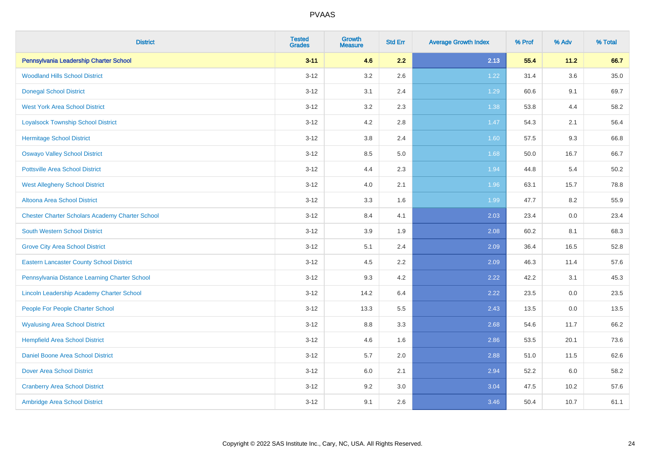| <b>District</b>                                        | <b>Tested</b><br><b>Grades</b> | <b>Growth</b><br><b>Measure</b> | <b>Std Err</b> | <b>Average Growth Index</b> | % Prof | % Adv   | % Total |
|--------------------------------------------------------|--------------------------------|---------------------------------|----------------|-----------------------------|--------|---------|---------|
| Pennsylvania Leadership Charter School                 | $3 - 11$                       | 4.6                             | 2.2            | 2.13                        | 55.4   | 11.2    | 66.7    |
| <b>Woodland Hills School District</b>                  | $3 - 12$                       | $3.2\,$                         | 2.6            | 1.22                        | 31.4   | $3.6\,$ | 35.0    |
| <b>Donegal School District</b>                         | $3 - 12$                       | 3.1                             | 2.4            | 1.29                        | 60.6   | 9.1     | 69.7    |
| <b>West York Area School District</b>                  | $3 - 12$                       | 3.2                             | 2.3            | 1.38                        | 53.8   | 4.4     | 58.2    |
| <b>Loyalsock Township School District</b>              | $3 - 12$                       | 4.2                             | 2.8            | $1.47$                      | 54.3   | 2.1     | 56.4    |
| <b>Hermitage School District</b>                       | $3 - 12$                       | 3.8                             | 2.4            | 1.60                        | 57.5   | 9.3     | 66.8    |
| <b>Oswayo Valley School District</b>                   | $3 - 12$                       | 8.5                             | 5.0            | 1.68                        | 50.0   | 16.7    | 66.7    |
| <b>Pottsville Area School District</b>                 | $3 - 12$                       | 4.4                             | 2.3            | 1.94                        | 44.8   | 5.4     | 50.2    |
| <b>West Allegheny School District</b>                  | $3 - 12$                       | 4.0                             | 2.1            | 1.96                        | 63.1   | 15.7    | 78.8    |
| Altoona Area School District                           | $3 - 12$                       | 3.3                             | 1.6            | 1.99                        | 47.7   | 8.2     | 55.9    |
| <b>Chester Charter Scholars Academy Charter School</b> | $3 - 12$                       | 8.4                             | 4.1            | 2.03                        | 23.4   | 0.0     | 23.4    |
| South Western School District                          | $3 - 12$                       | 3.9                             | 1.9            | 2.08                        | 60.2   | 8.1     | 68.3    |
| <b>Grove City Area School District</b>                 | $3 - 12$                       | 5.1                             | 2.4            | 2.09                        | 36.4   | 16.5    | 52.8    |
| <b>Eastern Lancaster County School District</b>        | $3 - 12$                       | 4.5                             | 2.2            | 2.09                        | 46.3   | 11.4    | 57.6    |
| Pennsylvania Distance Learning Charter School          | $3 - 12$                       | 9.3                             | 4.2            | 2.22                        | 42.2   | 3.1     | 45.3    |
| Lincoln Leadership Academy Charter School              | $3 - 12$                       | 14.2                            | 6.4            | 2.22                        | 23.5   | $0.0\,$ | 23.5    |
| People For People Charter School                       | $3 - 12$                       | 13.3                            | 5.5            | 2.43                        | 13.5   | 0.0     | 13.5    |
| <b>Wyalusing Area School District</b>                  | $3 - 12$                       | 8.8                             | 3.3            | 2.68                        | 54.6   | 11.7    | 66.2    |
| <b>Hempfield Area School District</b>                  | $3 - 12$                       | 4.6                             | 1.6            | 2.86                        | 53.5   | 20.1    | 73.6    |
| <b>Daniel Boone Area School District</b>               | $3 - 12$                       | 5.7                             | 2.0            | 2.88                        | 51.0   | 11.5    | 62.6    |
| <b>Dover Area School District</b>                      | $3 - 12$                       | 6.0                             | 2.1            | 2.94                        | 52.2   | 6.0     | 58.2    |
| <b>Cranberry Area School District</b>                  | $3 - 12$                       | 9.2                             | 3.0            | 3.04                        | 47.5   | 10.2    | 57.6    |
| Ambridge Area School District                          | $3 - 12$                       | 9.1                             | 2.6            | 3.46                        | 50.4   | 10.7    | 61.1    |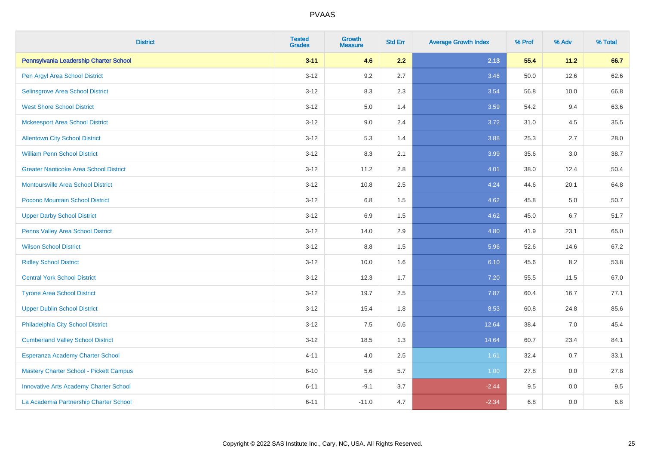| <b>District</b>                               | <b>Tested</b><br><b>Grades</b> | <b>Growth</b><br><b>Measure</b> | <b>Std Err</b> | <b>Average Growth Index</b> | % Prof | % Adv   | % Total |
|-----------------------------------------------|--------------------------------|---------------------------------|----------------|-----------------------------|--------|---------|---------|
| Pennsylvania Leadership Charter School        | $3 - 11$                       | 4.6                             | 2.2            | 2.13                        | 55.4   | 11.2    | 66.7    |
| Pen Argyl Area School District                | $3 - 12$                       | 9.2                             | 2.7            | 3.46                        | 50.0   | 12.6    | 62.6    |
| Selinsgrove Area School District              | $3 - 12$                       | 8.3                             | 2.3            | 3.54                        | 56.8   | 10.0    | 66.8    |
| <b>West Shore School District</b>             | $3 - 12$                       | 5.0                             | 1.4            | 3.59                        | 54.2   | 9.4     | 63.6    |
| <b>Mckeesport Area School District</b>        | $3 - 12$                       | 9.0                             | 2.4            | 3.72                        | 31.0   | 4.5     | 35.5    |
| <b>Allentown City School District</b>         | $3 - 12$                       | 5.3                             | 1.4            | 3.88                        | 25.3   | 2.7     | 28.0    |
| <b>William Penn School District</b>           | $3 - 12$                       | 8.3                             | 2.1            | 3.99                        | 35.6   | 3.0     | 38.7    |
| <b>Greater Nanticoke Area School District</b> | $3 - 12$                       | 11.2                            | 2.8            | 4.01                        | 38.0   | 12.4    | 50.4    |
| <b>Montoursville Area School District</b>     | $3 - 12$                       | 10.8                            | 2.5            | 4.24                        | 44.6   | 20.1    | 64.8    |
| Pocono Mountain School District               | $3 - 12$                       | 6.8                             | 1.5            | 4.62                        | 45.8   | 5.0     | 50.7    |
| <b>Upper Darby School District</b>            | $3 - 12$                       | 6.9                             | 1.5            | 4.62                        | 45.0   | 6.7     | 51.7    |
| Penns Valley Area School District             | $3 - 12$                       | 14.0                            | 2.9            | 4.80                        | 41.9   | 23.1    | 65.0    |
| <b>Wilson School District</b>                 | $3 - 12$                       | 8.8                             | 1.5            | 5.96                        | 52.6   | 14.6    | 67.2    |
| <b>Ridley School District</b>                 | $3 - 12$                       | 10.0                            | 1.6            | 6.10                        | 45.6   | 8.2     | 53.8    |
| <b>Central York School District</b>           | $3 - 12$                       | 12.3                            | 1.7            | 7.20                        | 55.5   | 11.5    | 67.0    |
| <b>Tyrone Area School District</b>            | $3 - 12$                       | 19.7                            | 2.5            | 7.87                        | 60.4   | 16.7    | 77.1    |
| <b>Upper Dublin School District</b>           | $3 - 12$                       | 15.4                            | 1.8            | 8.53                        | 60.8   | 24.8    | 85.6    |
| Philadelphia City School District             | $3 - 12$                       | 7.5                             | 0.6            | 12.64                       | 38.4   | 7.0     | 45.4    |
| <b>Cumberland Valley School District</b>      | $3 - 12$                       | 18.5                            | 1.3            | 14.64                       | 60.7   | 23.4    | 84.1    |
| Esperanza Academy Charter School              | $4 - 11$                       | 4.0                             | 2.5            | 1.61                        | 32.4   | 0.7     | 33.1    |
| Mastery Charter School - Pickett Campus       | $6 - 10$                       | 5.6                             | 5.7            | 1.00                        | 27.8   | 0.0     | 27.8    |
| <b>Innovative Arts Academy Charter School</b> | $6 - 11$                       | $-9.1$                          | 3.7            | $-2.44$                     | 9.5    | 0.0     | 9.5     |
| La Academia Partnership Charter School        | $6 - 11$                       | $-11.0$                         | 4.7            | $-2.34$                     | 6.8    | $0.0\,$ | $6.8\,$ |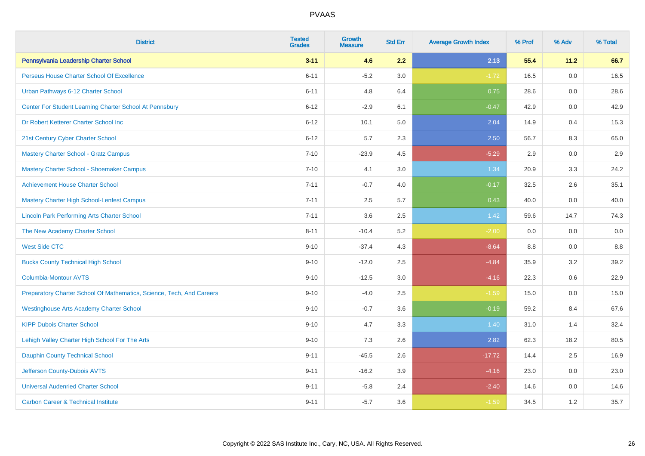| <b>District</b>                                                       | <b>Tested</b><br><b>Grades</b> | <b>Growth</b><br><b>Measure</b> | <b>Std Err</b> | <b>Average Growth Index</b> | % Prof | % Adv | % Total |
|-----------------------------------------------------------------------|--------------------------------|---------------------------------|----------------|-----------------------------|--------|-------|---------|
| Pennsylvania Leadership Charter School                                | $3 - 11$                       | 4.6                             | 2.2            | 2.13                        | 55.4   | 11.2  | 66.7    |
| Perseus House Charter School Of Excellence                            | $6 - 11$                       | $-5.2$                          | 3.0            | $-1.72$                     | 16.5   | 0.0   | 16.5    |
| Urban Pathways 6-12 Charter School                                    | $6 - 11$                       | 4.8                             | 6.4            | 0.75                        | 28.6   | 0.0   | 28.6    |
| Center For Student Learning Charter School At Pennsbury               | $6 - 12$                       | $-2.9$                          | 6.1            | $-0.47$                     | 42.9   | 0.0   | 42.9    |
| Dr Robert Ketterer Charter School Inc                                 | $6 - 12$                       | 10.1                            | 5.0            | 2.04                        | 14.9   | 0.4   | 15.3    |
| 21st Century Cyber Charter School                                     | $6 - 12$                       | 5.7                             | 2.3            | 2.50                        | 56.7   | 8.3   | 65.0    |
| Mastery Charter School - Gratz Campus                                 | $7 - 10$                       | $-23.9$                         | 4.5            | $-5.29$                     | 2.9    | 0.0   | 2.9     |
| Mastery Charter School - Shoemaker Campus                             | $7 - 10$                       | 4.1                             | 3.0            | 1.34                        | 20.9   | 3.3   | 24.2    |
| <b>Achievement House Charter School</b>                               | $7 - 11$                       | $-0.7$                          | 4.0            | $-0.17$                     | 32.5   | 2.6   | 35.1    |
| <b>Mastery Charter High School-Lenfest Campus</b>                     | $7 - 11$                       | 2.5                             | 5.7            | 0.43                        | 40.0   | 0.0   | 40.0    |
| <b>Lincoln Park Performing Arts Charter School</b>                    | $7 - 11$                       | 3.6                             | 2.5            | 1.42                        | 59.6   | 14.7  | 74.3    |
| The New Academy Charter School                                        | $8 - 11$                       | $-10.4$                         | 5.2            | $-2.00$                     | 0.0    | 0.0   | 0.0     |
| <b>West Side CTC</b>                                                  | $9 - 10$                       | $-37.4$                         | 4.3            | $-8.64$                     | 8.8    | 0.0   | 8.8     |
| <b>Bucks County Technical High School</b>                             | $9 - 10$                       | $-12.0$                         | 2.5            | $-4.84$                     | 35.9   | 3.2   | 39.2    |
| <b>Columbia-Montour AVTS</b>                                          | $9 - 10$                       | $-12.5$                         | 3.0            | $-4.16$                     | 22.3   | 0.6   | 22.9    |
| Preparatory Charter School Of Mathematics, Science, Tech, And Careers | $9 - 10$                       | $-4.0$                          | 2.5            | $-1.59$                     | 15.0   | 0.0   | 15.0    |
| <b>Westinghouse Arts Academy Charter School</b>                       | $9 - 10$                       | $-0.7$                          | 3.6            | $-0.19$                     | 59.2   | 8.4   | 67.6    |
| <b>KIPP Dubois Charter School</b>                                     | $9 - 10$                       | 4.7                             | 3.3            | 1.40                        | 31.0   | 1.4   | 32.4    |
| Lehigh Valley Charter High School For The Arts                        | $9 - 10$                       | 7.3                             | 2.6            | 2.82                        | 62.3   | 18.2  | 80.5    |
| <b>Dauphin County Technical School</b>                                | $9 - 11$                       | $-45.5$                         | 2.6            | $-17.72$                    | 14.4   | 2.5   | 16.9    |
| Jefferson County-Dubois AVTS                                          | $9 - 11$                       | $-16.2$                         | 3.9            | $-4.16$                     | 23.0   | 0.0   | 23.0    |
| <b>Universal Audenried Charter School</b>                             | $9 - 11$                       | $-5.8$                          | 2.4            | $-2.40$                     | 14.6   | 0.0   | 14.6    |
| <b>Carbon Career &amp; Technical Institute</b>                        | $9 - 11$                       | $-5.7$                          | 3.6            | $-1.59$                     | 34.5   | 1.2   | 35.7    |